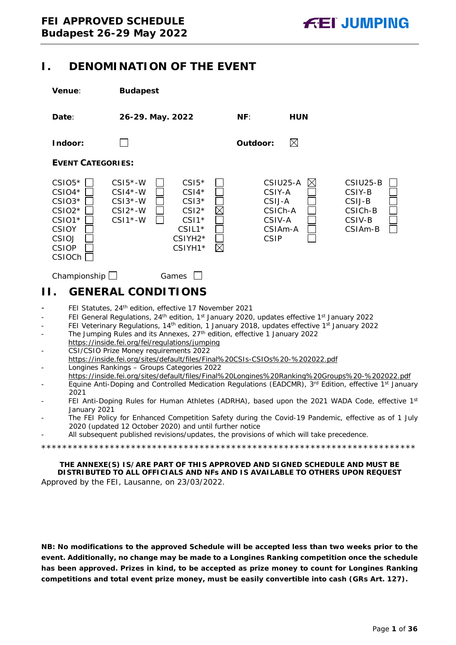# <span id="page-0-0"></span>**I. DENOMINATION OF THE EVENT**

| Venue:                                                                                                                                   | <b>Budapest</b>                                                                                                                                                                                                                                                                                                                                                                                                                                                                                                                                                                                                                                                                                                                                                                                                                                                                                                                                                                                                                                                                                                                                                                                                 |                                                                                   |                                                              |
|------------------------------------------------------------------------------------------------------------------------------------------|-----------------------------------------------------------------------------------------------------------------------------------------------------------------------------------------------------------------------------------------------------------------------------------------------------------------------------------------------------------------------------------------------------------------------------------------------------------------------------------------------------------------------------------------------------------------------------------------------------------------------------------------------------------------------------------------------------------------------------------------------------------------------------------------------------------------------------------------------------------------------------------------------------------------------------------------------------------------------------------------------------------------------------------------------------------------------------------------------------------------------------------------------------------------------------------------------------------------|-----------------------------------------------------------------------------------|--------------------------------------------------------------|
| Date:                                                                                                                                    | 26-29. May. 2022                                                                                                                                                                                                                                                                                                                                                                                                                                                                                                                                                                                                                                                                                                                                                                                                                                                                                                                                                                                                                                                                                                                                                                                                | NF:<br><b>HUN</b>                                                                 |                                                              |
| Indoor:                                                                                                                                  |                                                                                                                                                                                                                                                                                                                                                                                                                                                                                                                                                                                                                                                                                                                                                                                                                                                                                                                                                                                                                                                                                                                                                                                                                 | ⊠<br>Outdoor:                                                                     |                                                              |
| <b>EVENT CATEGORIES:</b>                                                                                                                 |                                                                                                                                                                                                                                                                                                                                                                                                                                                                                                                                                                                                                                                                                                                                                                                                                                                                                                                                                                                                                                                                                                                                                                                                                 |                                                                                   |                                                              |
| $CSIO5*$<br>$CSIO4*$<br>$CSIO3*$<br>$CSIO2*$<br>CSIO1*<br><b>CSIOY</b><br>CSIOJ<br><b>CSIOP</b><br><b>CSIOCh</b>                         | $CSI5*-W$<br>$CSI5*$<br>$CSI4*$<br>$CSI4*-W$<br>$CSI3*-W$<br>$CSI3*$<br>$CSI2*-W$<br>$CSI2*$<br>$CSI1*-W$<br>$CSI*$<br>CSIL1*<br>CSIYH2*<br>$\boxtimes$<br>CSIYH1*                                                                                                                                                                                                                                                                                                                                                                                                                                                                                                                                                                                                                                                                                                                                                                                                                                                                                                                                                                                                                                              | CSIU25-A<br>IХ<br>CSIY-A<br>CSIJ-A<br>CSICh-A<br>CSIV-A<br>CSIAm-A<br><b>CSIP</b> | CSIU25-B<br>CSIY-B<br>CSIJ-B<br>CSICh-B<br>CSIV-B<br>CSIAm-B |
| Championship $\Box$                                                                                                                      | Games                                                                                                                                                                                                                                                                                                                                                                                                                                                                                                                                                                                                                                                                                                                                                                                                                                                                                                                                                                                                                                                                                                                                                                                                           |                                                                                   |                                                              |
| Н.                                                                                                                                       | <b>GENERAL CONDITIONS</b>                                                                                                                                                                                                                                                                                                                                                                                                                                                                                                                                                                                                                                                                                                                                                                                                                                                                                                                                                                                                                                                                                                                                                                                       |                                                                                   |                                                              |
| $\blacksquare$<br>$\overline{\phantom{a}}$<br>$\overline{\phantom{0}}$<br>$\blacksquare$<br>$\overline{a}$<br>2021<br>÷,<br>January 2021 | FEI Statutes, 24th edition, effective 17 November 2021<br>FEI General Regulations, 24 <sup>th</sup> edition, 1 <sup>st</sup> January 2020, updates effective 1 <sup>st</sup> January 2022<br>FEI Veterinary Regulations, 14 <sup>th</sup> edition, 1 January 2018, updates effective 1 <sup>st</sup> January 2022<br>The Jumping Rules and its Annexes, 27 <sup>th</sup> edition, effective 1 January 2022<br>https://inside.fei.org/fei/regulations/jumping<br>CSI/CSIO Prize Money requirements 2022<br>https://inside.fei.org/sites/default/files/Final%20CSIs-CSIOs%20-%202022.pdf<br>Longines Rankings - Groups Categories 2022<br>https://inside.fei.org/sites/default/files/Final%20Longines%20Ranking%20Groups%20-%202022.pdf<br>Equine Anti-Doping and Controlled Medication Regulations (EADCMR), 3rd Edition, effective 1st January<br>FEI Anti-Doping Rules for Human Athletes (ADRHA), based upon the 2021 WADA Code, effective 1st<br>The FEI Policy for Enhanced Competition Safety during the Covid-19 Pandemic, effective as of 1 July<br>2020 (updated 12 October 2020) and until further notice<br>All subsequent published revisions/updates, the provisions of which will take precedence. |                                                                                   |                                                              |
|                                                                                                                                          | THE ANNEXE(S) IS/ARE PART OF THIS APPROVED AND SIGNED SCHEDULE AND MUST BE                                                                                                                                                                                                                                                                                                                                                                                                                                                                                                                                                                                                                                                                                                                                                                                                                                                                                                                                                                                                                                                                                                                                      |                                                                                   |                                                              |

<span id="page-0-1"></span>**THE ANNEXE(S) IS/ARE PART OF THIS APPROVED AND SIGNED SCHEDULE AND MUST BE DISTRIBUTED TO ALL OFFICIALS AND NFs AND IS AVAILABLE TO OTHERS UPON REQUEST** Approved by the FEI, Lausanne, on 23/03/2022.

**NB: No modifications to the approved Schedule will be accepted less than two weeks prior to the event. Additionally, no change may be made to a Longines Ranking competition once the schedule has been approved. Prizes in kind, to be accepted as prize money to count for Longines Ranking competitions and total event prize money, must be easily convertible into cash (GRs Art. 127).**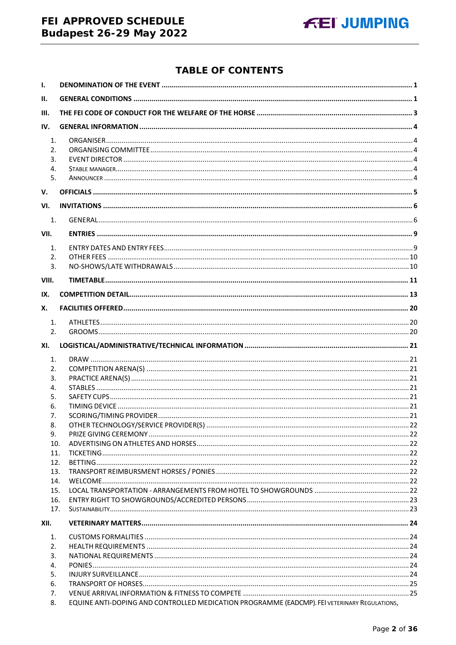# FEI APPROVED SCHEDULE **Budapest 26-29 May 2022**



# **TABLE OF CONTENTS**

| $\mathbf{I}$ . |                                                                                              |  |
|----------------|----------------------------------------------------------------------------------------------|--|
| II.            |                                                                                              |  |
| III.           |                                                                                              |  |
| IV.            |                                                                                              |  |
| 1.             |                                                                                              |  |
| 2.             |                                                                                              |  |
| 3.             |                                                                                              |  |
| 4.             |                                                                                              |  |
| 5.             |                                                                                              |  |
| V.             |                                                                                              |  |
| VI.            |                                                                                              |  |
| 1.             |                                                                                              |  |
| VII.           |                                                                                              |  |
| 1.             |                                                                                              |  |
| 2.             |                                                                                              |  |
| 3.             |                                                                                              |  |
| VIII.          |                                                                                              |  |
| IX.            |                                                                                              |  |
| Х.             |                                                                                              |  |
| 1.             |                                                                                              |  |
| 2.             |                                                                                              |  |
| XI.            |                                                                                              |  |
| 1.             |                                                                                              |  |
| 2.             |                                                                                              |  |
| 3.             |                                                                                              |  |
| 4.             |                                                                                              |  |
| 5.             |                                                                                              |  |
| 6.             |                                                                                              |  |
| 7.             |                                                                                              |  |
| 8.             |                                                                                              |  |
| 9.             |                                                                                              |  |
| 10.<br>11.     |                                                                                              |  |
| 12.            |                                                                                              |  |
| 13.            |                                                                                              |  |
| 14.            |                                                                                              |  |
| 15.            |                                                                                              |  |
| 16.            |                                                                                              |  |
| 17.            |                                                                                              |  |
| XII.           |                                                                                              |  |
| 1.             |                                                                                              |  |
| 2.             |                                                                                              |  |
| 3.             |                                                                                              |  |
| 4.             |                                                                                              |  |
| 5.             |                                                                                              |  |
| 6.<br>7.       |                                                                                              |  |
| 8.             | EQUINE ANTI-DOPING AND CONTROLLED MEDICATION PROGRAMME (EADCMP). FEI VETERINARY REGULATIONS, |  |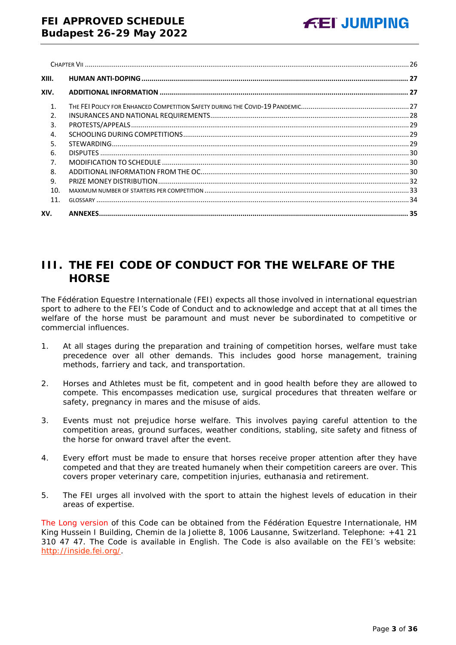| XIII.          |  |
|----------------|--|
| XIV.           |  |
| $\mathbf{1}$ . |  |
| $\mathcal{P}$  |  |
| 3.             |  |
| 4.             |  |
| 5.             |  |
| 6.             |  |
| 7.             |  |
| 8.             |  |
| 9.             |  |
| 10.            |  |
| 11             |  |
| XV.            |  |

# <span id="page-2-0"></span>**III. THE FEI CODE OF CONDUCT FOR THE WELFARE OF THE HORSE**

The Fédération Equestre Internationale (FEI) expects all those involved in international equestrian sport to adhere to the FEI's Code of Conduct and to acknowledge and accept that at all times the welfare of the horse must be paramount and must never be subordinated to competitive or commercial influences.

- 1. At all stages during the preparation and training of competition horses, welfare must take precedence over all other demands. This includes good horse management, training methods, farriery and tack, and transportation.
- 2. Horses and Athletes must be fit, competent and in good health before they are allowed to compete. This encompasses medication use, surgical procedures that threaten welfare or safety, pregnancy in mares and the misuse of aids.
- 3. Events must not prejudice horse welfare. This involves paying careful attention to the competition areas, ground surfaces, weather conditions, stabling, site safety and fitness of the horse for onward travel after the event.
- 4. Every effort must be made to ensure that horses receive proper attention after they have competed and that they are treated humanely when their competition careers are over. This covers proper veterinary care, competition injuries, euthanasia and retirement.
- 5. The FEI urges all involved with the sport to attain the highest levels of education in their areas of expertise.

The Long version of this Code can be obtained from the Fédération Equestre Internationale, HM King Hussein I Building, Chemin de la Joliette 8, 1006 Lausanne, Switzerland. Telephone: +41 21 310 47 47. The Code is available in English. The Code is also available on the FEI's website: [http://inside.fei.org/.](http://inside.fei.org/)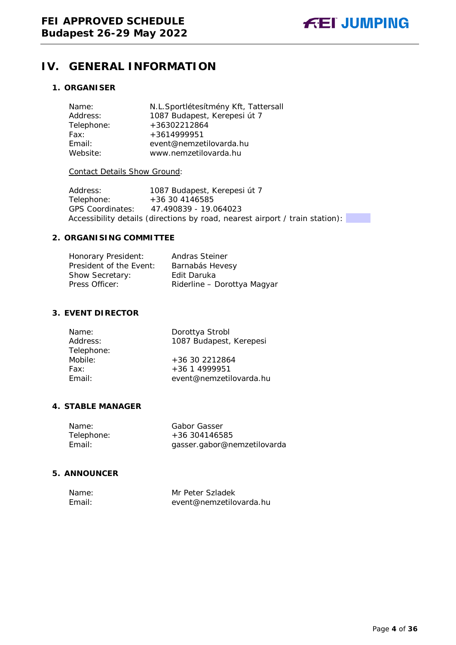# <span id="page-3-0"></span>**IV. GENERAL INFORMATION**

### <span id="page-3-1"></span>**1. ORGANISER**

| N.L.Sportlétesítmény Kft, Tattersall |
|--------------------------------------|
| 1087 Budapest, Kerepesi út 7         |
| +36302212864                         |
| +3614999951                          |
| event@nemzetilovarda.hu              |
| www.nemzetilovarda.hu                |
|                                      |

#### Contact Details Show Ground:

Address: 1087 Budapest, Kerepesi út 7 Telephone: +36 30 4146585 GPS Coordinates: 47.490839 - 19.064023 Accessibility details (directions by road, nearest airport / train station):

#### <span id="page-3-2"></span>**2. ORGANISING COMMITTEE**

| Honorary President:     | Andras Steiner              |
|-------------------------|-----------------------------|
| President of the Event: | Barnabás Hevesy             |
| Show Secretary:         | Edit Daruka                 |
| Press Officer:          | Riderline - Dorottya Magyar |

#### <span id="page-3-3"></span>**3. EVENT DIRECTOR**

| Name:      | Dorottya Strobl         |
|------------|-------------------------|
| Address:   | 1087 Budapest, Kerepesi |
| Telephone: |                         |
| Mobile:    | +36 30 2212864          |
| Fax:       | $+36$ 1 4999951         |
| Fmail:     | event@nemzetilovarda.hu |
|            |                         |

#### <span id="page-3-4"></span>**4. STABLE MANAGER**

| Name:      | Gabor Gasser                |
|------------|-----------------------------|
| Telephone: | $+36304146585$              |
| Email:     | gasser.gabor@nemzetilovarda |

#### <span id="page-3-5"></span>**5. ANNOUNCER**

| Name:  | Mr Peter Szladek        |
|--------|-------------------------|
| Fmail: | event@nemzetilovarda.hu |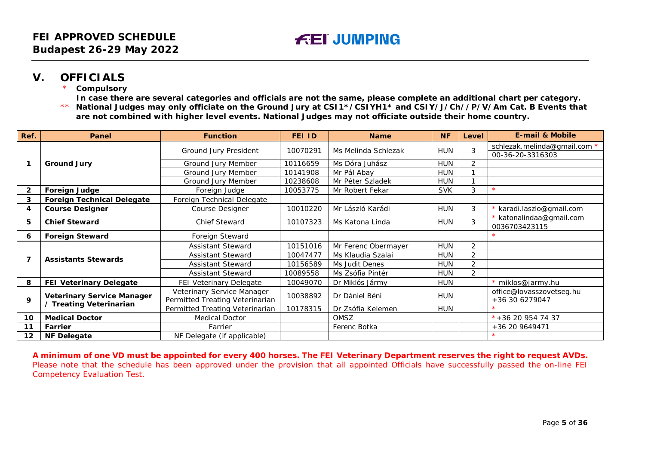# **V. OFFICIALS**

**Compulsory** 

**In case there are several categories and officials are not the same, please complete an additional chart per category.**

\*\* **National Judges may only officiate on the Ground Jury at CSI1\*/CSIYH1\* and CSIY/J/Ch//P/V/Am Cat. B Events that are not combined with higher level events. National Judges may not officiate outside their home country.**

| Ref.            | Panel                             | <b>Function</b>                                               | FEI ID   | <b>Name</b>         | <b>NF</b>  | Level                    | <b>E-mail &amp; Mobile</b>                     |
|-----------------|-----------------------------------|---------------------------------------------------------------|----------|---------------------|------------|--------------------------|------------------------------------------------|
|                 |                                   | Ground Jury President                                         | 10070291 | Ms Melinda Schlezak | <b>HUN</b> | 3                        | schlezak.melinda@gmail.com<br>00-36-20-3316303 |
|                 | <b>Ground Jury</b>                | Ground Jury Member                                            | 10116659 | Ms Dóra Juhász      | <b>HUN</b> | 2                        |                                                |
|                 |                                   | Ground Jury Member                                            | 10141908 | Mr Pál Abay         | <b>HUN</b> |                          |                                                |
|                 |                                   | Ground Jury Member                                            | 10238608 | Mr Péter Szladek    | <b>HUN</b> |                          |                                                |
| 2               | <b>Foreign Judge</b>              | Foreign Judge                                                 | 10053775 | Mr Robert Fekar     | <b>SVK</b> | 3                        |                                                |
| 3               | <b>Foreign Technical Delegate</b> | Foreign Technical Delegate                                    |          |                     |            |                          |                                                |
| 4               | <b>Course Designer</b>            | Course Designer                                               | 10010220 | Mr László Karádi    | <b>HUN</b> | 3                        | karadi.laszlo@gmail.com                        |
|                 |                                   |                                                               |          |                     |            | * katonalindaa@gmail.com |                                                |
| 5               | <b>Chief Steward</b>              | <b>Chief Steward</b>                                          | 10107323 | Ms Katona Linda     | <b>HUN</b> | 3                        | 0036703423115                                  |
| 6               | <b>Foreign Steward</b>            | Foreign Steward                                               |          |                     |            |                          |                                                |
|                 |                                   | <b>Assistant Steward</b>                                      | 10151016 | Mr Ferenc Obermayer | <b>HUN</b> | 2                        |                                                |
| 7               | <b>Assistants Stewards</b>        | <b>Assistant Steward</b>                                      | 10047477 | Ms Klaudia Szalai   | <b>HUN</b> | 2                        |                                                |
|                 |                                   | <b>Assistant Steward</b>                                      | 10156589 | Ms Judit Denes      | <b>HUN</b> | 2                        |                                                |
|                 |                                   | <b>Assistant Steward</b>                                      | 10089558 | Ms Zsófia Pintér    | <b>HUN</b> | $\overline{2}$           |                                                |
| 8               | <b>FEI Veterinary Delegate</b>    | FEI Veterinary Delegate                                       | 10049070 | Dr Miklós Jármy     | HUN        |                          | miklos@jarmy.hu                                |
| 9               | <b>Veterinary Service Manager</b> | Veterinary Service Manager<br>Permitted Treating Veterinarian | 10038892 | Dr Dániel Béni      | HUN        |                          | office@lovasszovetseg.hu<br>+36 30 6279047     |
|                 | / Treating Veterinarian           | Permitted Treating Veterinarian                               | 10178315 | Dr Zsófia Kelemen   | <b>HUN</b> |                          |                                                |
| 10              | <b>Medical Doctor</b>             | <b>Medical Doctor</b>                                         |          | OMSZ                |            |                          | $*+36$ 20 954 74 37                            |
| 11              | Farrier                           | Farrier                                                       |          | Ferenc Botka        |            |                          | +36 20 9649471                                 |
| 12 <sup>2</sup> | <b>NF Delegate</b>                | NF Delegate (if applicable)                                   |          |                     |            |                          |                                                |

<span id="page-4-0"></span>**A minimum of one VD must be appointed for every 400 horses. The FEI Veterinary Department reserves the right to request AVDs.** Please note that the schedule has been approved under the provision that all appointed Officials have successfully passed the on-line FEI Competency Evaluation Test.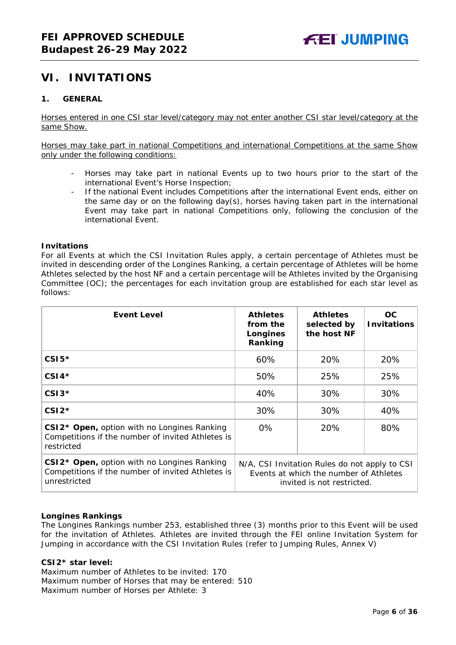# <span id="page-5-0"></span>**VI. INVITATIONS**

#### <span id="page-5-1"></span>**1. GENERAL**

Horses entered in one CSI star level/category may not enter another CSI star level/category at the same Show.

Horses may take part in national Competitions and international Competitions at the same Show only under the following conditions:

- Horses may take part in national Events up to two hours prior to the start of the international Event's Horse Inspection;
- If the national Event includes Competitions after the international Event ends, either on the same day or on the following day(s), horses having taken part in the international Event may take part in national Competitions only, following the conclusion of the international Event.

#### **Invitations**

For all Events at which the CSI Invitation Rules apply, a certain percentage of Athletes must be invited in descending order of the Longines Ranking, a certain percentage of Athletes will be home Athletes selected by the host NF and a certain percentage will be Athletes invited by the Organising Committee (OC); the percentages for each invitation group are established for each star level as follows:

| <b>Event Level</b>                                                                                                           | <b>Athletes</b><br>from the<br>Longines<br>Ranking | <b>Athletes</b><br>selected by<br>the host NF                                                                         | OC.<br><b>Invitations</b> |
|------------------------------------------------------------------------------------------------------------------------------|----------------------------------------------------|-----------------------------------------------------------------------------------------------------------------------|---------------------------|
| $CSI5*$                                                                                                                      | 60%                                                | 20%                                                                                                                   | 20%                       |
| $CSI4*$                                                                                                                      | 50%                                                | 25%                                                                                                                   | 25%                       |
| $CSI3*$                                                                                                                      | 40%                                                | 30%                                                                                                                   | 30%                       |
| $CSI2*$                                                                                                                      | 30%                                                | 30%                                                                                                                   | 40%                       |
| CSI2* Open, option with no Longines Ranking<br>Competitions if the number of invited Athletes is<br>restricted               | $0\%$                                              | 20%                                                                                                                   | 80%                       |
| CSI2 <sup>*</sup> Open, option with no Longines Ranking<br>Competitions if the number of invited Athletes is<br>unrestricted |                                                    | N/A, CSI Invitation Rules do not apply to CSI<br>Events at which the number of Athletes<br>invited is not restricted. |                           |

#### **Longines Rankings**

The Longines Rankings number 253, established three (3) months prior to this Event will be used for the invitation of Athletes. Athletes are invited through the FEI online Invitation System for Jumping in accordance with the CSI Invitation Rules (refer to Jumping Rules, Annex V)

#### **CSI2\*** *star leve***l:**

Maximum number of Athletes to be invited: 170 Maximum number of Horses that may be entered: 510 Maximum number of Horses per Athlete: 3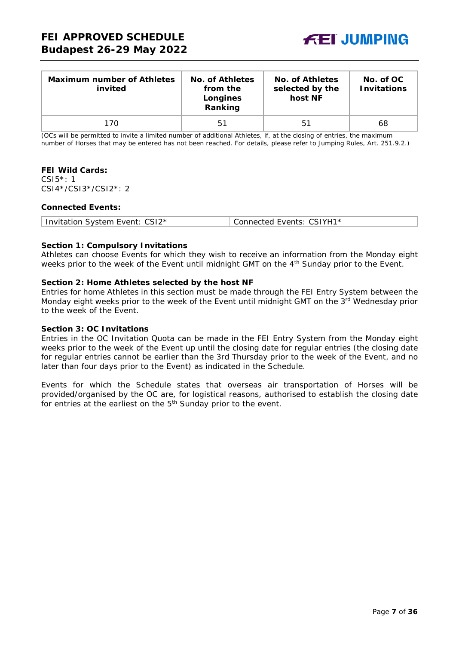

| <b>Maximum number of Athletes</b><br>invited | No. of Athletes<br>from the<br>Longines<br>Ranking | No. of Athletes<br>selected by the<br>host NF | No. of OC<br><b>Invitations</b> |
|----------------------------------------------|----------------------------------------------------|-----------------------------------------------|---------------------------------|
| 170                                          | 51                                                 | 51                                            | 68                              |

(OCs will be permitted to invite a limited number of additional Athletes, if, at the closing of entries, the maximum number of Horses that may be entered has not been reached. For details, please refer to Jumping Rules, Art. 251.9.2.)

#### **FEI Wild Cards:**

CSI5\*: 1 CSI4\*/CSI3\*/CSI2\*: 2

#### **Connected Events:**

| Invitation System Event: CSI2* | Connected Events: CSIYH1* |
|--------------------------------|---------------------------|
|--------------------------------|---------------------------|

#### **Section 1: Compulsory Invitations**

Athletes can choose Events for which they wish to receive an information from the Monday eight weeks prior to the week of the Event until midnight GMT on the 4<sup>th</sup> Sunday prior to the Event.

#### **Section 2: Home Athletes selected by the host NF**

Entries for home Athletes in this section must be made through the FEI Entry System between the Monday eight weeks prior to the week of the Event until midnight GMT on the 3<sup>rd</sup> Wednesday prior to the week of the Event.

#### **Section 3: OC Invitations**

Entries in the OC Invitation Quota can be made in the FEI Entry System from the Monday eight weeks prior to the week of the Event up until the closing date for regular entries (the closing date for regular entries cannot be earlier than the 3rd Thursday prior to the week of the Event, and no later than four days prior to the Event) as indicated in the Schedule.

Events for which the Schedule states that overseas air transportation of Horses will be provided/organised by the OC are, for logistical reasons, authorised to establish the closing date for entries at the earliest on the 5<sup>th</sup> Sunday prior to the event.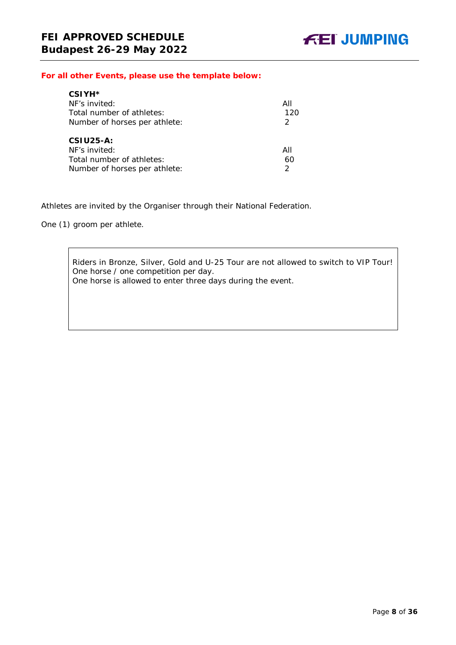#### *For all other Events, please use the template below:*

| CSIYH <sup>*</sup>            |               |
|-------------------------------|---------------|
| NF's invited:                 | All           |
| Total number of athletes:     | 120           |
| Number of horses per athlete: | $\mathcal{P}$ |
|                               |               |
| $CSIU25-A:$                   |               |
| NF's invited:                 | All           |
| Total number of athletes:     | 60            |
| Number of horses per athlete: |               |

Athletes are invited by the Organiser through their National Federation.

One (1) groom per athlete.

Riders in Bronze, Silver, Gold and U-25 Tour are not allowed to switch to VIP Tour! One horse / one competition per day. One horse is allowed to enter three days during the event.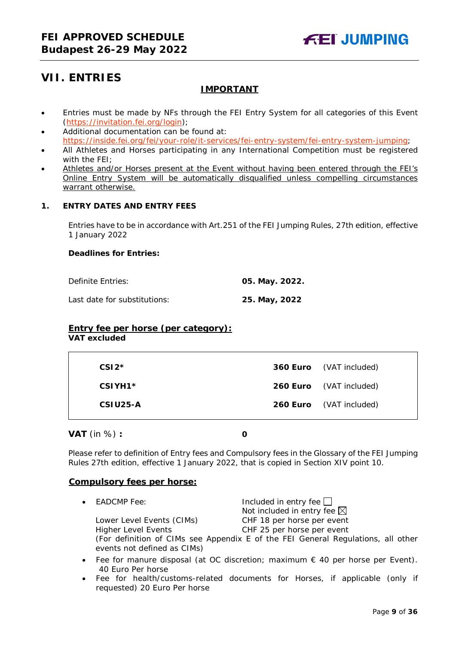# <span id="page-8-0"></span>**VII. ENTRIES**

### **IMPORTANT**

- Entries must be made by NFs through the FEI Entry System for all categories of this Event [\(https://invitation.fei.org/login\)](https://invitation.fei.org/login);
- Additional documentation can be found at: [https://inside.fei.org/fei/your-role/it-services/fei-entry-system/fei-entry-system-jumping;](https://inside.fei.org/fei/your-role/it-services/fei-entry-system/fei-entry-system-jumping)
- All Athletes and Horses participating in any International Competition must be registered with the FEI;
- Athletes and/or Horses present at the Event without having been entered through the FEI's Online Entry System will be automatically disqualified unless compelling circumstances warrant otherwise.

### <span id="page-8-1"></span>**1. ENTRY DATES AND ENTRY FEES**

Entries have to be in accordance with Art.251 of the FEI Jumping Rules, 27th edition, effective 1 January 2022

#### **Deadlines for Entries:**

Definite Entries: **05. May. 2022.**

Last date for substitutions: **25. May, 2022**

### **Entry fee per horse** *(per category):*

**VAT excluded**

| $CSI2*$  | <b>360 Euro</b> (VAT included) |
|----------|--------------------------------|
| CSIYH1*  | <b>260 Euro</b> (VAT included) |
| CSIU25-A | <b>260 Euro</b> (VAT included) |

**VAT** (in %) **: 0**

Please refer to definition of Entry fees and Compulsory fees in the Glossary of the FEI Jumping Rules 27th edition, effective 1 January 2022, that is copied in Section XIV point 10.

#### **Compulsory fees per horse:**

 $FADAMP$  Fee:  $IID$  and  $IID$  and  $IID$  and  $IID$  and  $IID$  and  $IID$  and  $IID$  and  $IID$  and  $IID$  and  $IID$  and  $IID$  and  $IID$  and  $IID$  and  $IID$  and  $IID$  and  $IID$  and  $IID$  and  $IID$  and  $IID$  and  $IID$  and  $IID$  and  $IID$  and  $IID$  and  $IID$ 

|                             | Not included in entry fee $\boxtimes$                                            |
|-----------------------------|----------------------------------------------------------------------------------|
| Lower Level Events (CIMs)   | CHF 18 per horse per event                                                       |
| Higher Level Events         | CHF 25 per horse per event                                                       |
|                             | (For definition of CIMs see Appendix E of the FEI General Regulations, all other |
| events not defined as CIMs) |                                                                                  |

- Fee for manure disposal (at OC discretion; maximum € 40 per horse per Event). 40 Euro Per horse
- Fee for health/customs-related documents for Horses, if applicable (only if requested) 20 Euro Per horse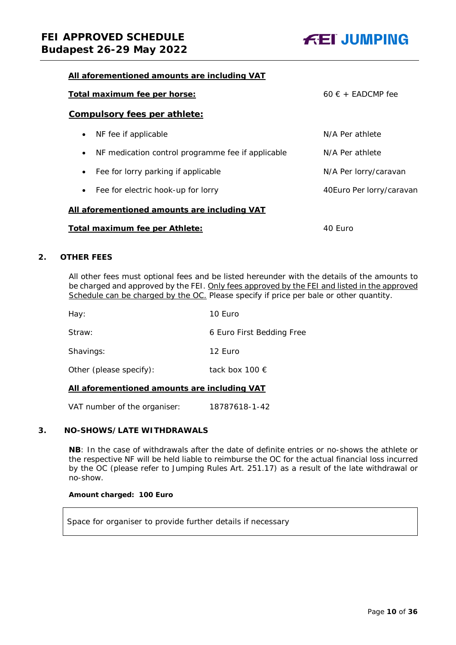

#### **All aforementioned amounts are including VAT**

| Total maximum fee per horse:<br>$60 \in +$ FADCMP fee          |                          |  |  |
|----------------------------------------------------------------|--------------------------|--|--|
| <b>Compulsory fees per athlete:</b>                            |                          |  |  |
| NF fee if applicable<br>$\bullet$                              | N/A Per athlete          |  |  |
| NF medication control programme fee if applicable<br>$\bullet$ | N/A Per athlete          |  |  |
| Fee for lorry parking if applicable<br>$\bullet$               | N/A Per lorry/caravan    |  |  |
| Fee for electric hook-up for lorry<br>$\bullet$                | 40Euro Per lorry/caravan |  |  |
| All aforementioned amounts are including VAT                   |                          |  |  |
| Total maximum fee per Athlete:<br>40 Furo                      |                          |  |  |

#### <span id="page-9-0"></span>**2. OTHER FEES**

All other fees must optional fees and be listed hereunder with the details of the amounts to be charged and approved by the FEI. Only fees approved by the FEI and listed in the approved Schedule can be charged by the OC. *Please specify if price per bale or other quantity.*

| 10 Euro                   |
|---------------------------|
| 6 Euro First Bedding Free |
| 12 Euro                   |
| tack box 100 €            |
|                           |

#### **All aforementioned amounts are including VAT**

VAT number of the organiser: 18787618-1-42

#### <span id="page-9-1"></span>**3. NO-SHOWS/LATE WITHDRAWALS**

**NB**: In the case of withdrawals after the date of definite entries or no-shows the athlete or the respective NF will be held liable to reimburse the OC for the actual financial loss incurred by the OC (please refer to Jumping Rules Art. 251.17) as a result of the late withdrawal or no-show.

#### **Amount charged: 100 Euro**

Space for organiser to provide further details if necessary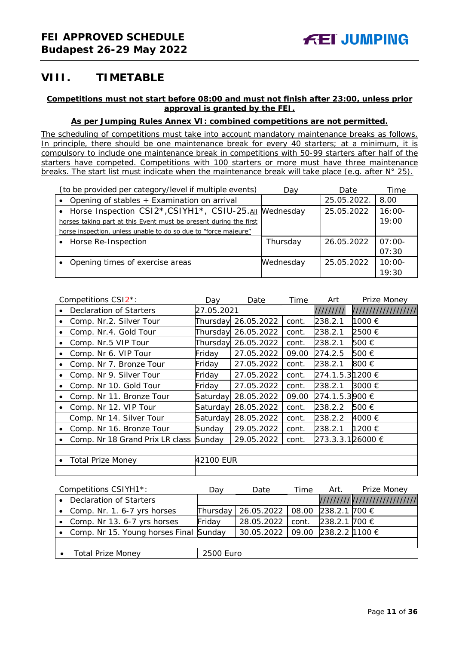# <span id="page-10-0"></span>**VIII. TIMETABLE**

#### **Competitions must not start before 08:00 and must not finish after 23:00, unless prior approval is granted by the FEI.**

#### **As per Jumping Rules Annex VI: combined competitions are not permitted.**

*The scheduling of competitions must take into account mandatory maintenance breaks as follows. In principle, there should be one maintenance break for every 40 starters; at a minimum, it is compulsory to include one maintenance break in competitions with 50-99 starters after half of the starters have competed. Competitions with 100 starters or more must have three maintenance breaks. The start list must indicate when the maintenance break will take place (e.g. after N° 25).*

| (to be provided per category/level if multiple events)            | Dav       | Date        | Time     |
|-------------------------------------------------------------------|-----------|-------------|----------|
| Opening of stables + Examination on arrival                       |           | 25.05.2022. | 8.00     |
| • Horse Inspection CSI2*, CSIYH1*, CSIU-25. All Wednesday         |           | 25.05.2022  | $16:00-$ |
| horses taking part at this Event must be present during the first |           |             | 19:00    |
| horse inspection, unless unable to do so due to "force majeure"   |           |             |          |
| • Horse Re-Inspection                                             | Thursday  | 26.05.2022  | $07:00-$ |
|                                                                   |           |             | 07:30    |
| Opening times of exercise areas                                   | Wednesday | 25.05.2022  | $10:00-$ |
|                                                                   |           |             | 19:30    |

|           | Competitions CSI2 <sup>*</sup> : | Day        | Date                | Time  | Art              | Prize Money         |
|-----------|----------------------------------|------------|---------------------|-------|------------------|---------------------|
| $\bullet$ | <b>Declaration of Starters</b>   | 27.05.2021 |                     |       | 111111111        | /////////////////// |
|           | Comp. Nr.2. Silver Tour          |            | Thursday 26.05.2022 | cont. | 238.2.1          | 1000 €              |
| ٠         | Comp. Nr.4. Gold Tour            |            | Thursday 26.05.2022 | cont. | 238.2.1          | 2500 €              |
| $\bullet$ | Comp. Nr.5 VIP Tour              |            | Thursday 26.05.2022 | cont. | 238.2.1          | 500 €               |
| ٠         | Comp. Nr 6. VIP Tour             | Friday     | 27.05.2022          | 09.00 | 274.2.5          | 500 €               |
| ٠         | Comp. Nr 7. Bronze Tour          | Friday     | 27.05.2022          | cont. | 238.2.1          | 800 €               |
| ٠         | Comp. Nr 9. Silver Tour          | Friday     | 27.05.2022          | cont. | 274.1.5.31200 €  |                     |
| $\bullet$ | Comp. Nr 10. Gold Tour           | Friday     | 27.05.2022          | cont. | 238.2.1          | 3000 €              |
|           | Comp. Nr 11. Bronze Tour         | Saturday   | 28.05.2022          | 09.00 | 274.1.5.3900 €   |                     |
| $\bullet$ | Comp. Nr 12. VIP Tour            | Saturday   | 28.05.2022          | cont. | 238.2.2          | 500 €               |
|           | Comp. Nr 14. Silver Tour         | Saturday   | 28.05.2022          | cont. | 238.2.2          | 4000 €              |
| $\bullet$ | Comp. Nr 16. Bronze Tour         | Sunday     | 29.05.2022          | cont. | 238.2.1          | 1200 €              |
|           | Comp. Nr 18 Grand Prix LR class  | Sunday     | 29.05.2022          | cont. | 273.3.3.126000 € |                     |
|           |                                  |            |                     |       |                  |                     |
| $\bullet$ | <b>Total Prize Money</b>         | 42100 EUR  |                     |       |                  |                     |
|           |                                  |            |                     |       |                  |                     |

| Competitions CSIYH1*:                    | Dav       | Date       | Time  | Art.                 | Prize Money                   |
|------------------------------------------|-----------|------------|-------|----------------------|-------------------------------|
| Declaration of Starters                  |           |            |       |                      | ///////////////////////////// |
| • Comp. Nr. 1. 6-7 yrs horses            | Thursday  | 26.05.2022 | 08.00 | 238.2.1 700 €        |                               |
| Comp. Nr 13. 6-7 yrs horses              | Friday    | 28.05.2022 | cont. | 238.2.1 700 €        |                               |
| • Comp. Nr 15. Young horses Final Sunday |           | 30.05.2022 |       | 09.00 238.2.2 1100 € |                               |
|                                          |           |            |       |                      |                               |
| <b>Total Prize Money</b>                 | 2500 Euro |            |       |                      |                               |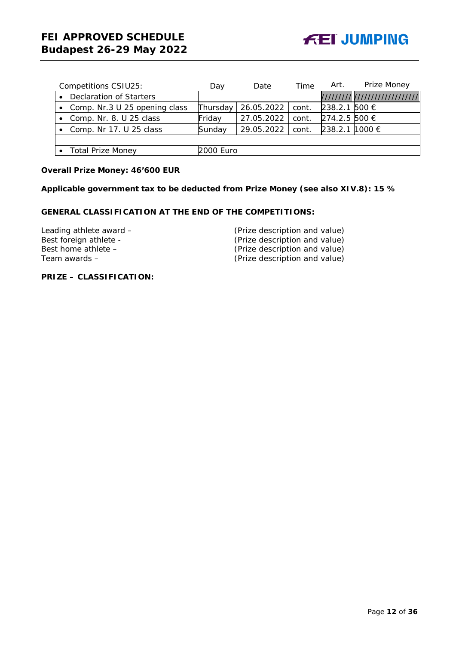|           | Competitions CSIU25:            | Dav       | Date       | Time  | Art.           | Prize Money                   |
|-----------|---------------------------------|-----------|------------|-------|----------------|-------------------------------|
|           | <b>Declaration of Starters</b>  |           |            |       |                | ///////// /////////////////// |
|           | • Comp. Nr.3 U 25 opening class | Thursday  | 26.05.2022 | cont. | 238.2.1 500 €  |                               |
|           | Comp. Nr. 8. U 25 class         | Friday    | 27.05.2022 | cont. | 274.2.5 500 €  |                               |
| $\bullet$ | Comp. Nr 17. U 25 class         | Sunday    | 29.05.2022 | cont. | 238.2.1 1000 € |                               |
|           |                                 |           |            |       |                |                               |
|           | <b>Total Prize Money</b>        | 2000 Euro |            |       |                |                               |

#### **Overall Prize Money: 46'600 EUR**

**Applicable government tax to be deducted from Prize Money (see also XIV.8): 15 %**

### **GENERAL CLASSIFICATION AT THE END OF THE COMPETITIONS:**

Leading athlete award – (Prize description and value)<br>Best foreign athlete - (Prize description and value) Best foreign athlete - (Prize description and value)<br>Best home athlete - (Prize description and value) Best home athlete – (Prize description and value)<br>
Team awards – (Prize description and value)

(Prize description and value)

**PRIZE – CLASSIFICATION:**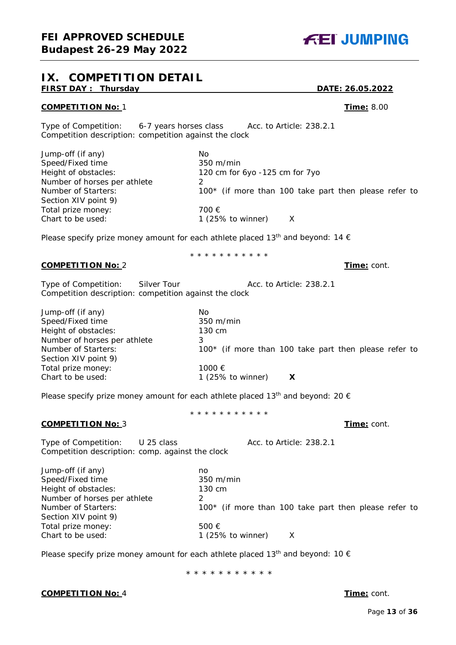# <span id="page-12-0"></span>**IX. COMPETITION DETAIL FIRST DAY : Thursday DATE: 26.05.2022**

#### **COMPETITION No:** 1 **Time:** 8.00

Type of Competition: 6-7 years horses class Acc. to Article: 238.2.1 Competition description: competition against the clock

| Jump-off (if any)            | No                                                    |
|------------------------------|-------------------------------------------------------|
| Speed/Fixed time             | $350 \text{ m/min}$                                   |
| Height of obstacles:         | 120 cm for 6yo -125 cm for 7yo                        |
| Number of horses per athlete |                                                       |
| Number of Starters:          | 100* (if more than 100 take part then please refer to |
| Section XIV point 9)         |                                                       |
| Total prize money:           | 700 €                                                 |
| Chart to be used:            | 1 $(25\% \text{ to winner})$                          |

Please specify prize money amount for each athlete placed 13<sup>th</sup> and beyond: 14  $\epsilon$ 

#### **COMPETITION No:** 2 **Time:** cont.

\* \* \* \* \* \* \* \* \* \* \*

Type of Competition: Silver Tour Acc. to Article: 238.2.1 Competition description: competition against the clock

| Jump-off (if any)            | No                                                    |
|------------------------------|-------------------------------------------------------|
| Speed/Fixed time             | $350 \text{ m/min}$                                   |
| Height of obstacles:         | 130 cm                                                |
| Number of horses per athlete | 3                                                     |
| Number of Starters:          | 100* (if more than 100 take part then please refer to |
| Section XIV point 9)         |                                                       |
| Total prize money:           | 1000 €                                                |
| Chart to be used:            | 1 $(25\% \text{ to winner})$                          |
|                              |                                                       |

Please specify prize money amount for each athlete placed 13<sup>th</sup> and beyond: 20  $\epsilon$ 

\* \* \* \* \* \* \* \* \* \* \*

#### **COMPETITION No:** 3 **Time:** cont.

Competition description: comp. against the clock

Type of Competition: U 25 class Acc. to Article: 238.2.1

Jump-off (if any) no Speed/Fixed time 350 m/min Height of obstacles: 130 cm Number of horses per athlete 2 Number of Starters: 100<sup>\*</sup> (if more than 100 take part then please refer to Section XIV point 9) Total prize money: 500 € Chart to be used: 1 (25% to winner) X

Please specify prize money amount for each athlete placed 13<sup>th</sup> and beyond: 10  $\epsilon$ 

\* \* \* \* \* \* \* \* \* \* \*

**COMPETITION No:** 4 **Time:** cont.

# **FEI JUMPING**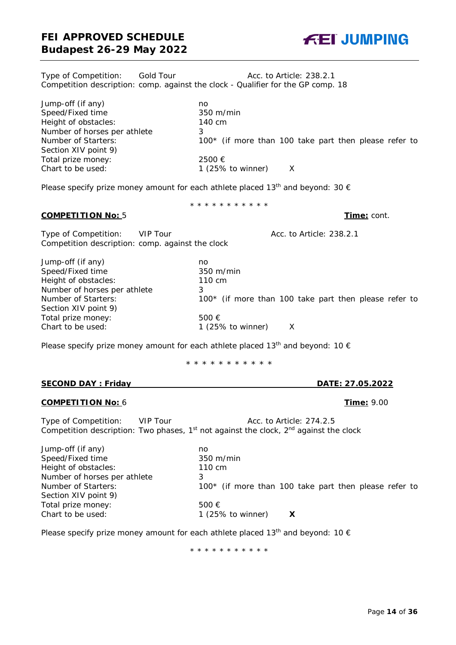Type of Competition: Gold Tour The Acc. to Article: 238.2.1 Competition description: comp. against the clock - Qualifier for the GP comp. 18

| Jump-off (if any)            | no                                                      |
|------------------------------|---------------------------------------------------------|
| Speed/Fixed time             | $350 \text{ m/min}$                                     |
| Height of obstacles:         | 140 cm                                                  |
| Number of horses per athlete |                                                         |
| Number of Starters:          | $100*$ (if more than 100 take part then please refer to |
| Section XIV point 9)         |                                                         |
| Total prize money:           | 2500 €                                                  |
| Chart to be used:            | 1 $(25\% \text{ to winner})$                            |
|                              |                                                         |

Please specify prize money amount for each athlete placed 13<sup>th</sup> and beyond: 30  $\epsilon$ 

#### **COMPETITION No:** 5 **Time:** cont.

Type of Competition: VIP Tour and Acc. to Article: 238.2.1 Competition description: comp. against the clock

| Jump-off (if any)            | no                                                      |
|------------------------------|---------------------------------------------------------|
| Speed/Fixed time             | $350 \text{ m/min}$                                     |
| Height of obstacles:         | 110 cm                                                  |
| Number of horses per athlete | 3                                                       |
| Number of Starters:          | $100*$ (if more than 100 take part then please refer to |
| Section XIV point 9)         |                                                         |
| Total prize money:           | 500 $\epsilon$                                          |
| Chart to be used:            | 1 $(25\% \text{ to winner})$                            |

Please specify prize money amount for each athlete placed 13<sup>th</sup> and beyond: 10  $\epsilon$ 

\* \* \* \* \* \* \* \* \* \* \*

#### **SECOND DAY : Friday DATE: 27.05.2022**

#### **COMPETITION No:** 6 **Time:** 9.00

Type of Competition: VIP Tour Acc. to Article: 274.2.5 Competition description: Two phases,  $1<sup>st</sup>$  not against the clock,  $2<sup>nd</sup>$  against the clock

| Jump-off (if any)            | no                                                      |
|------------------------------|---------------------------------------------------------|
| Speed/Fixed time             | $350 \; \mathrm{m/min}$                                 |
| Height of obstacles:         | 110 cm                                                  |
| Number of horses per athlete | 3                                                       |
| Number of Starters:          | $100*$ (if more than 100 take part then please refer to |
| Section XIV point 9)         |                                                         |
| Total prize money:           | 500 $\epsilon$                                          |
| Chart to be used:            | 1 $(25\% \text{ to winner})$<br>X                       |
|                              |                                                         |

Please specify prize money amount for each athlete placed 13<sup>th</sup> and beyond: 10  $\epsilon$ 

\* \* \* \* \* \* \* \* \* \* \*



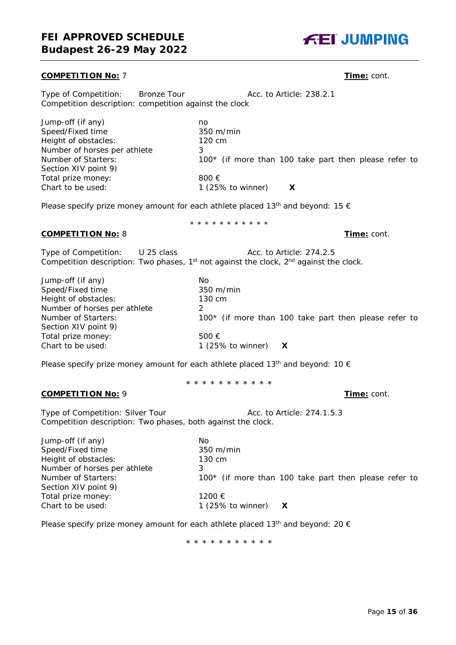#### **COMPETITION No:** 7 **Time:** cont.

Type of Competition: Bronze Tour **Acc. to Article: 238.2.1** Competition description: competition against the clock

| Jump-off (if any)            | no                                                      |
|------------------------------|---------------------------------------------------------|
| Speed/Fixed time             | $350 \text{ m/min}$                                     |
| Height of obstacles:         | 120 cm                                                  |
| Number of horses per athlete | 3                                                       |
| Number of Starters:          | $100*$ (if more than 100 take part then please refer to |
| Section XIV point 9)         |                                                         |
| Total prize money:           | 800 $\epsilon$                                          |
| Chart to be used:            | 1 $(25\% \text{ to winner})$                            |
|                              |                                                         |

\* \* \* \* \* \* \* \* \* \* \*

Please specify prize money amount for each athlete placed 13<sup>th</sup> and beyond: 15  $\epsilon$ 

**COMPETITION No:** 8 **Time:** cont.

Type of Competition: U 25 class Acc. to Article: 274.2.5 Competition description: Two phases, 1 $\mathrm{^{st}}$  not against the clock, 2 $\mathrm{^{nd}}$  against the clock.

| Jump-off (if any)            | No                                                    |
|------------------------------|-------------------------------------------------------|
| Speed/Fixed time             | $350 \text{ m/min}$                                   |
| Height of obstacles:         | 130 cm                                                |
| Number of horses per athlete |                                                       |
| Number of Starters:          | 100* (if more than 100 take part then please refer to |
| Section XIV point 9)         |                                                       |
| Total prize money:           | 500 $\epsilon$                                        |
| Chart to be used:            | 1 (25% to winner) $\bm{X}$                            |

Please specify prize money amount for each athlete placed 13<sup>th</sup> and beyond: 10  $\epsilon$ 

\* \* \* \* \* \* \* \* \* \* \*

#### **COMPETITION No:** 9 **Time:** cont.

Type of Competition: Silver Tour Acc. to Article: 274.1.5.3 Competition description: Two phases, both against the clock.

| Jump-off (if any)            | No                                                      |
|------------------------------|---------------------------------------------------------|
| Speed/Fixed time             | $350 \text{ m/min}$                                     |
| Height of obstacles:         | 130 cm                                                  |
| Number of horses per athlete | 3                                                       |
| Number of Starters:          | $100*$ (if more than 100 take part then please refer to |
| Section XIV point 9)         |                                                         |
| Total prize money:           | 1200 €                                                  |
| Chart to be used:            | 1 (25% to winner) $\bm{X}$                              |

Please specify prize money amount for each athlete placed 13<sup>th</sup> and beyond: 20  $\epsilon$ 

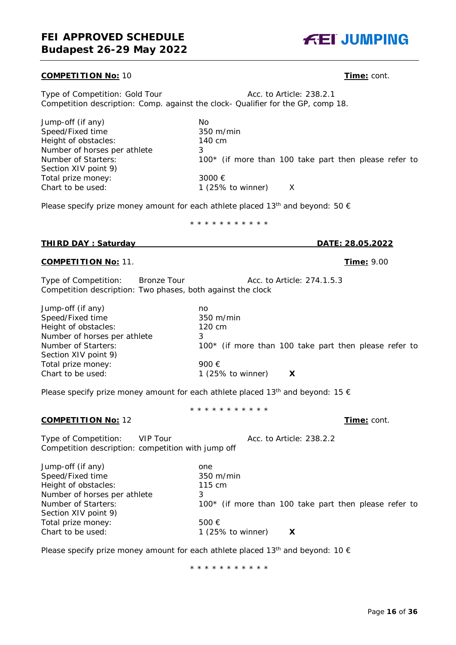#### **COMPETITION No:** 10 **Time:** cont.

Type of Competition: Gold Tour **Acc. to Article: 238.2.1** Competition description: Comp. against the clock- Qualifier for the GP, comp 18.

Jump-off (if any) No<br>Speed/Fixed time 350 m/min Speed/Fixed time 350 m/r<br>
Height of obstacles: 140 cm Height of obstacles: Number of horses per athlete 3<br>Number of Starters: 1  $100*$  (if more than 100 take part then please refer to Section XIV point 9) Total prize money: 3000 € Chart to be used: 1 (25% to winner) X

Please specify prize money amount for each athlete placed 13<sup>th</sup> and beyond: 50  $\epsilon$ 

\* \* \* \* \* \* \* \* \* \* \*

#### **THIRD DAY : Saturday DATE: 28.05.2022**

#### **COMPETITION No:** 11. **Time:** 9.00

Type of Competition: Bronze Tour Acc. to Article: 274.1.5.3 Competition description: Two phases, both against the clock

Jump-off (if any) no Speed/Fixed time 350 m/min Height of obstacles: 120 cm Number of horses per athlete 3 Number of Starters: 100<sup>\*</sup> (if more than 100 take part then please refer to Section XIV point 9) Total prize money: 900  $\in$  Chart to be used: 1 (259) 1 (25% to winner)  $\bm{X}$ 

Please specify prize money amount for each athlete placed 13<sup>th</sup> and beyond: 15  $\epsilon$ 

\* \* \* \* \* \* \* \* \* \* \*

#### **COMPETITION No:** 12 **Time:** cont.

Type of Competition: VIP Tour Acc. to Article: 238.2.2 Competition description: competition with jump off

Jump-off (if any) one Speed/Fixed time 350 m/min Height of obstacles: 115 cm Number of horses per athlete 3 Number of Starters: 100<sup>\*</sup> (if more than 100 take part then please refer to Section XIV point 9) Total prize money: 500 € Chart to be used: 1 (25% to winner) **X**

Please specify prize money amount for each athlete placed 13<sup>th</sup> and beyond: 10  $\epsilon$ 

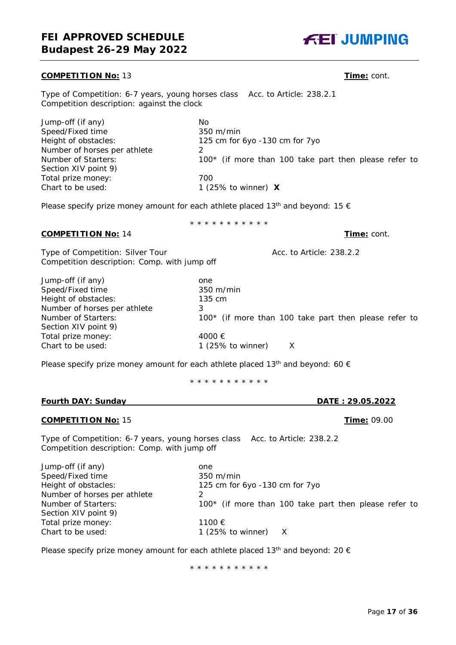#### **COMPETITION No:** 13 **Time:** cont.

Type of Competition: 6-7 years, young horses class Acc. to Article: 238.2.1 Competition description: against the clock

| Jump-off (if any)            | No                                                      |
|------------------------------|---------------------------------------------------------|
| Speed/Fixed time             | $350 \text{ m/min}$                                     |
| Height of obstacles:         | 125 cm for 6yo -130 cm for 7yo                          |
| Number of horses per athlete |                                                         |
| Number of Starters:          | $100*$ (if more than 100 take part then please refer to |
| Section XIV point 9)         |                                                         |
| Total prize money:           | 700                                                     |
| Chart to be used:            | 1 (25% to winner) $\boldsymbol{X}$                      |
|                              |                                                         |

Please specify prize money amount for each athlete placed 13<sup>th</sup> and beyond: 15  $\epsilon$ 

\* \* \* \* \* \* \* \* \* \* \*

#### **COMPETITION No:** 14 **Time:** cont.

Type of Competition: Silver Tour Acc. to Article: 238.2.2 Competition description: Comp. with jump off

Jump-off (if any) one Speed/Fixed time 350 m/min Height of obstacles: 135 cm Number of horses per athlete 3<br>Number of Starters: 1 Section XIV point 9) Total prize money: 4000 € Chart to be used: 1 (25% to winner) X

 $100*$  (if more than 100 take part then please refer to

Please specify prize money amount for each athlete placed 13<sup>th</sup> and beyond: 60  $\epsilon$ 

\* \* \* \* \* \* \* \* \* \* \*

#### **Fourth DAY: Sunday DATE : 29.05.2022**

#### **COMPETITION No:** 15 **Time:** 09.00

Type of Competition: 6-7 years, young horses class Acc. to Article: 238.2.2 Competition description: Comp. with jump off

Jump-off (if any) one Speed/Fixed time 350 m/min Number of horses per athlete 2 Section XIV point 9) Total prize money: 1100 € Chart to be used: 1 (25% to winner) X

Height of obstacles: 125 cm for 6yo -130 cm for 7yo Number of Starters: 100<sup>\*</sup> (if more than 100 take part then please refer to

Please specify prize money amount for each athlete placed 13<sup>th</sup> and beyond: 20  $\epsilon$ 

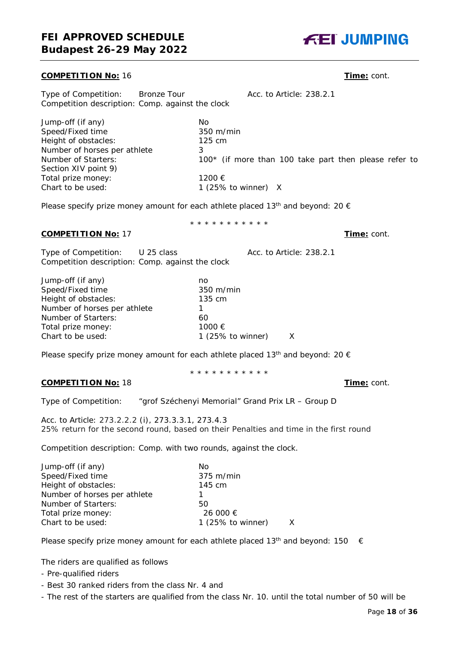#### **COMPETITION No:** 16 **Time:** cont.

Type of Competition: Bronze Tour Acc. to Article: 238.2.1 Competition description: Comp. against the clock

| Jump-off (if any)            | No                                                    |
|------------------------------|-------------------------------------------------------|
| Speed/Fixed time             | $350 \; \mathrm{m/min}$                               |
| Height of obstacles:         | $125 \text{ cm}$                                      |
| Number of horses per athlete |                                                       |
| Number of Starters:          | 100* (if more than 100 take part then please refer to |
| Section XIV point 9)         |                                                       |
| Total prize money:           | 1200 €                                                |
| Chart to be used:            | 1 (25% to winner) $X$                                 |
|                              |                                                       |

\* \* \* \* \* \* \* \* \* \* \*

Please specify prize money amount for each athlete placed 13<sup>th</sup> and beyond: 20  $\epsilon$ 

# **COMPETITION No:** 17 **Time:** cont.

Type of Competition: U 25 class Acc. to Article: 238.2.1 Competition description: Comp. against the clock

| Jump-off (if any)            | no                           |   |
|------------------------------|------------------------------|---|
| Speed/Fixed time             | $350 \text{ m/min}$          |   |
| Height of obstacles:         | 135 cm                       |   |
| Number of horses per athlete |                              |   |
| Number of Starters:          | 60                           |   |
| Total prize money:           | 1000 €                       |   |
| Chart to be used:            | 1 $(25\% \text{ to winner})$ | X |
|                              |                              |   |

Please specify prize money amount for each athlete placed 13<sup>th</sup> and beyond: 20  $\epsilon$ 

\* \* \* \* \* \* \* \* \* \* \*

#### **COMPETITION No:** 18 **Time:** cont.

Type of Competition: "grof Széchenyi Memorial" Grand Prix LR – Group D

Acc. to Article: 273.2.2.2 (i), 273.3.3.1, 273.4.3 25% return for the second round, based on their Penalties and time in the first round

Competition description: Comp. with two rounds, against the clock.

| Jump-off (if any)            | No                  |  |
|------------------------------|---------------------|--|
| Speed/Fixed time             | $375 \text{ m/min}$ |  |
| Height of obstacles:         | 145 cm              |  |
| Number of horses per athlete |                     |  |
| Number of Starters:          | 50                  |  |
| Total prize money:           | 26 000 €            |  |
| Chart to be used:            | 1 (25% to winner)   |  |
|                              |                     |  |

Please specify prize money amount for each athlete placed 13<sup>th</sup> and beyond: 150  $\epsilon$ 

The riders are qualified as follows

- Pre-qualified riders
- Best 30 ranked riders from the class Nr. 4 and
- The rest of the starters are qualified from the class Nr. 10. until the total number of 50 will be

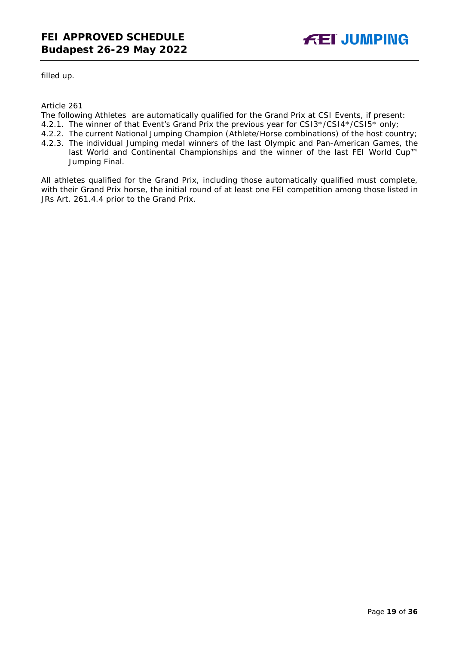

filled up.

Article 261

The following Athletes are automatically qualified for the Grand Prix at CSI Events, if present:

- 4.2.1. The winner of that Event's Grand Prix the previous year for CSI3\*/CSI4\*/CSI5\* only;
- 4.2.2. The current National Jumping Champion (Athlete/Horse combinations) of the host country;
- 4.2.3. The individual Jumping medal winners of the last Olympic and Pan-American Games, the last World and Continental Championships and the winner of the last FEI World Cup™ Jumping Final.

All athletes qualified for the Grand Prix, including those automatically qualified must complete, with their Grand Prix horse, the initial round of at least one FEI competition among those listed in JRs Art. 261.4.4 prior to the Grand Prix.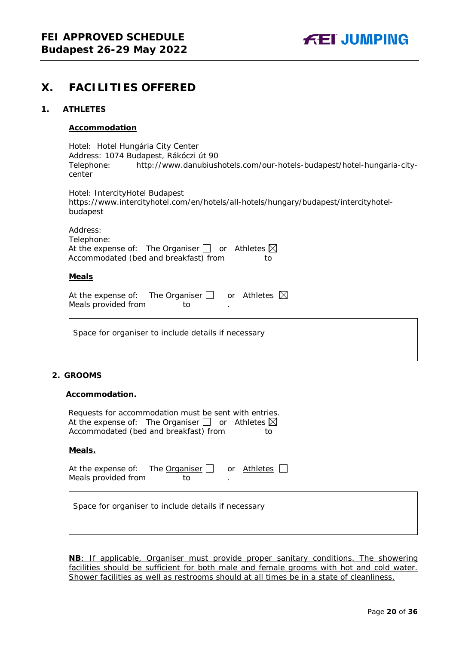# <span id="page-19-0"></span>**X. FACILITIES OFFERED**

#### <span id="page-19-1"></span>**1. ATHLETES**

#### **Accommodation**

Hotel: Hotel Hungária City Center Address: 1074 Budapest, Rákóczi út 90 Telephone: http://www.danubiushotels.com/our-hotels-budapest/hotel-hungaria-citycenter

Hotel: IntercityHotel Budapest https://www.intercityhotel.com/en/hotels/all-hotels/hungary/budapest/intercityhotelbudapest

Address: Telephone: At the expense of: The Organiser  $\Box$  or Athletes  $\boxtimes$ Accommodated (bed and breakfast) from to

#### **Meals**

| At the expense of: The Organiser $\Box$ |     | or Athletes $\boxtimes$ |  |
|-----------------------------------------|-----|-------------------------|--|
| Meals provided from                     | TO. |                         |  |

Space for organiser to include details if necessary

#### <span id="page-19-2"></span>**2. GROOMS**

#### **Accommodation.**

| Requests for accommodation must be sent with entries.           |    |
|-----------------------------------------------------------------|----|
| At the expense of: The Organiser $\Box$ or Athletes $\boxtimes$ |    |
| Accommodated (bed and breakfast) from                           | to |

#### **Meals.**

| At the expense of: The Organiser $\Box$ or Athletes $\Box$ |     |  |
|------------------------------------------------------------|-----|--|
| Meals provided from                                        | TO. |  |

Space for organiser to include details if necessary

**NB**: If applicable, Organiser must provide proper sanitary conditions. The showering facilities should be sufficient for both male and female grooms with hot and cold water. Shower facilities as well as restrooms should at all times be in a state of cleanliness.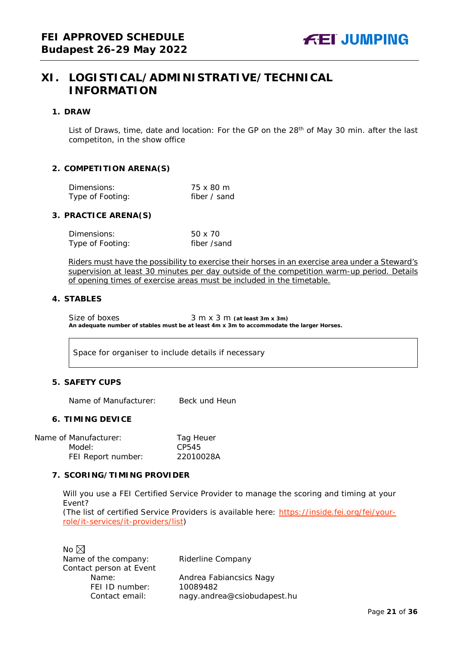# <span id="page-20-0"></span>**XI. LOGISTICAL/ADMINISTRATIVE/TECHNICAL INFORMATION**

#### <span id="page-20-1"></span>**1. DRAW**

List of Draws, time, date and location: For the GP on the 28<sup>th</sup> of May 30 min. after the last competiton, in the show office

#### <span id="page-20-2"></span>**2. COMPETITION ARENA(S)**

| Dimensions:      | 75 x 80 m    |
|------------------|--------------|
| Type of Footing: | fiber / sand |

#### <span id="page-20-3"></span>**3. PRACTICE ARENA(S)**

| Dimensions:      | 50 x 70     |
|------------------|-------------|
| Type of Footing: | fiber /sand |

Riders must have the possibility to exercise their horses in an exercise area under a Steward's supervision at least 30 minutes per day outside of the competition warm-up period. Details of opening times of exercise areas must be included in the timetable.

#### <span id="page-20-4"></span>**4. STABLES**

Size of boxes 3 m x 3 m (at least 3m x 3m) **An adequate number of stables must be at least 4m x 3m to accommodate the larger Horses.**

Space for organiser to include details if necessary

#### <span id="page-20-5"></span>**5. SAFETY CUPS**

Name of Manufacturer: Beck und Heun

#### <span id="page-20-6"></span>**6. TIMING DEVICE**

Name of Manufacturer: Tag Heuer Model: CP545 FEI Report number: 22010028A

#### <span id="page-20-7"></span>**7. SCORING/TIMING PROVIDER**

Will you use a FEI Certified Service Provider to manage the scoring and timing at your Event?

*(The list of certified Service Providers is available here:* [https://inside.fei.org/fei/your](https://inside.fei.org/fei/your-role/it-services/it-providers/list)[role/it-services/it-providers/list](https://inside.fei.org/fei/your-role/it-services/it-providers/list)*)*

No  $\boxtimes$ Name of the company: Riderline Company Contact person at Event<br>Name: FEI ID number: 10089482

Andrea Fabiancsics Nagy Contact email: *nagy.andrea@csiobudapest.hu*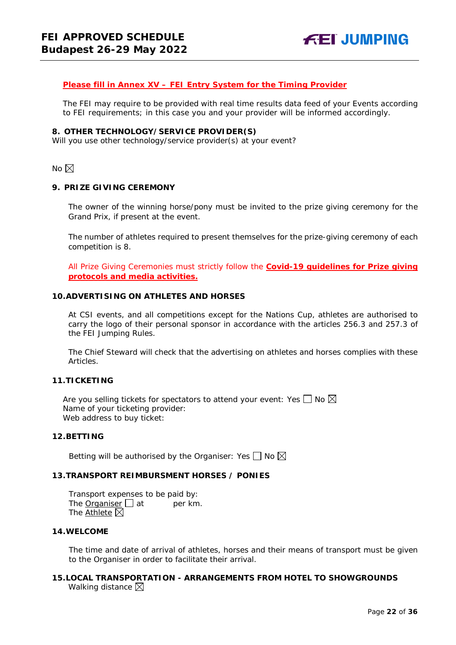#### *Please fill in Annex XV – FEI Entry System for the Timing Provider*

The FEI may require to be provided with real time results data feed of your Events according to FEI requirements; in this case you and your provider will be informed accordingly.

#### <span id="page-21-0"></span>**8. OTHER TECHNOLOGY/SERVICE PROVIDER(S)**

Will you use other technology/service provider(s) at your event?

No  $\boxtimes$ 

#### <span id="page-21-1"></span>**9. PRIZE GIVING CEREMONY**

The owner of the winning horse/pony must be invited to the prize giving ceremony for the Grand Prix, if present at the event.

The number of athletes required to present themselves for the prize-giving ceremony of each competition is 8.

All Prize Giving Ceremonies must strictly follow the **Covid-19 guidelines for Prize giving protocols and media activities.**

#### <span id="page-21-2"></span>**10.ADVERTISING ON ATHLETES AND HORSES**

At CSI events, and all competitions except for the Nations Cup, athletes are authorised to carry the logo of their personal sponsor in accordance with the articles 256.3 and 257.3 of the FEI Jumping Rules.

The Chief Steward will check that the advertising on athletes and horses complies with these Articles.

#### <span id="page-21-3"></span>**11.TICKETING**

Are you selling tickets for spectators to attend your event: Yes  $\Box$  No  $\boxtimes$ Name of your ticketing provider: Web address to buy ticket:

#### <span id="page-21-4"></span>**12.BETTING**

Betting will be authorised by the Organiser: Yes  $\Box$  No  $\boxtimes$ 

#### <span id="page-21-5"></span>**13.TRANSPORT REIMBURSMENT HORSES / PONIES**

Transport expenses to be paid by: The **Organiser**  $\Box$  at per km. The Athlete  $\boxtimes$ 

#### <span id="page-21-6"></span>**14.WELCOME**

The time and date of arrival of athletes, horses and their means of transport must be given to the Organiser in order to facilitate their arrival.

#### <span id="page-21-7"></span>**15.LOCAL TRANSPORTATION - ARRANGEMENTS FROM HOTEL TO SHOWGROUNDS** Walking distance  $\boxtimes$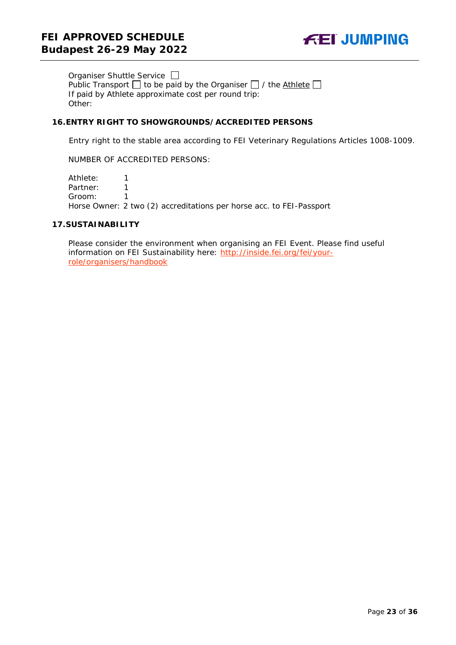

Organiser Shuttle Service Public Transport  $\Box$  to be paid by the Organiser  $\Box$  / the Athlete  $\Box$ If paid by Athlete approximate cost per round trip: Other:

#### <span id="page-22-0"></span>**16.ENTRY RIGHT TO SHOWGROUNDS/ACCREDITED PERSONS**

Entry right to the stable area according to FEI Veterinary Regulations Articles 1008-1009.

NUMBER OF ACCREDITED PERSONS:

Athlete: 1 Partner: 1<br>Groom: 1 Groom: 1 Horse Owner: 2 two (2) accreditations per horse acc. to FEI-Passport

#### <span id="page-22-1"></span>**17.SUSTAINABILITY**

Please consider the environment when organising an FEI Event. Please find useful information on FEI Sustainability here: [http://inside.fei.org/fei/your](http://inside.fei.org/fei/your-role/organisers/handbook)[role/organisers/handbook](http://inside.fei.org/fei/your-role/organisers/handbook)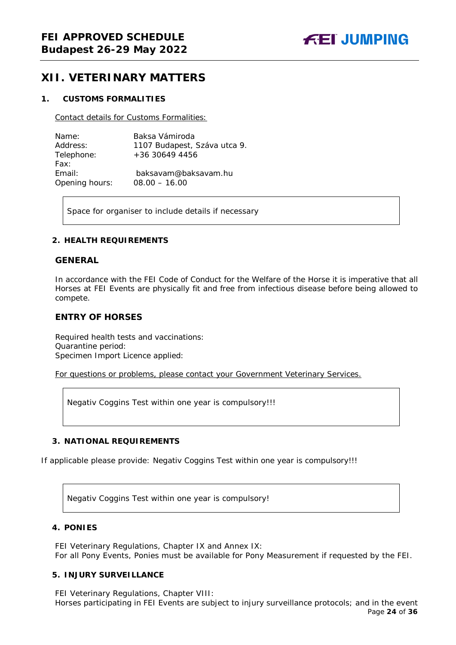# <span id="page-23-0"></span>**XII. VETERINARY MATTERS**

### <span id="page-23-1"></span>**1. CUSTOMS FORMALITIES**

Contact details for Customs Formalities:

| Name:          | Baksa Vámiroda               |
|----------------|------------------------------|
| Address:       | 1107 Budapest, Száva utca 9. |
| Telephone:     | +36 30649 4456               |
| Fax:           |                              |
| Email:         | baksayam@baksayam.hu         |
| Opening hours: | $08.00 - 16.00$              |

Space for organiser to include details if necessary

#### <span id="page-23-2"></span>**2. HEALTH REQUIREMENTS**

#### **GENERAL**

In accordance with the FEI Code of Conduct for the Welfare of the Horse it is imperative that all Horses at FEI Events are physically fit and free from infectious disease before being allowed to compete.

### **ENTRY OF HORSES**

Required health tests and vaccinations: Quarantine period: Specimen Import Licence applied:

For questions or problems, please contact your Government Veterinary Services.

Negativ Coggins Test within one year is compulsory!!!

### <span id="page-23-3"></span>**3. NATIONAL REQUIREMENTS**

If applicable please provide: Negativ Coggins Test within one year is compulsory!!!

Negativ Coggins Test within one year is compulsory!

#### <span id="page-23-4"></span>**4. PONIES**

FEI Veterinary Regulations, Chapter IX and Annex IX: For all Pony Events, Ponies must be available for Pony Measurement if requested by the FEI.

### <span id="page-23-5"></span>**5. INJURY SURVEILLANCE**

FEI Veterinary Regulations, Chapter VIII: Horses participating in FEI Events are subject to injury surveillance protocols; and in the event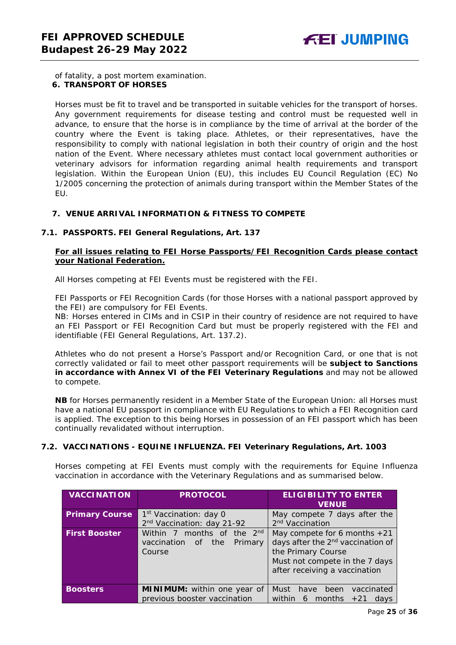<span id="page-24-0"></span>of fatality, a post mortem examination. **6. TRANSPORT OF HORSES**

Horses must be fit to travel and be transported in suitable vehicles for the transport of horses. Any government requirements for disease testing and control must be requested well in advance, to ensure that the horse is in compliance by the time of arrival at the border of the country where the Event is taking place. Athletes, or their representatives, have the responsibility to comply with national legislation in both their country of origin and the host nation of the Event. Where necessary athletes must contact local government authorities or veterinary advisors for information regarding animal health requirements and transport legislation. Within the European Union (EU), this includes EU Council Regulation (EC) No 1/2005 concerning the protection of animals during transport within the Member States of the EU.

#### <span id="page-24-1"></span>**7. VENUE ARRIVAL INFORMATION & FITNESS TO COMPETE**

#### **7.1. PASSPORTS. FEI General Regulations, Art. 137**

#### **For all issues relating to FEI Horse Passports/FEI Recognition Cards please contact your National Federation.**

All Horses competing at FEI Events must be registered with the FEI.

FEI Passports or FEI Recognition Cards (for those Horses with a national passport approved by the FEI) are compulsory for FEI Events.

NB: Horses entered in CIMs and in CSIP in their country of residence are not required to have an FEI Passport or FEI Recognition Card but must be properly registered with the FEI and identifiable (FEI General Regulations, Art. 137.2).

Athletes who do not present a Horse's Passport and/or Recognition Card, or one that is not correctly validated or fail to meet other passport requirements will be **subject to Sanctions in accordance with Annex VI of the FEI Veterinary Regulations** and may not be allowed to compete.

**NB** for Horses permanently resident in a Member State of the European Union: all Horses must have a national EU passport in compliance with EU Regulations to which a FEI Recognition card is applied. The exception to this being Horses in possession of an FEI passport which has been continually revalidated without interruption.

#### **7.2. VACCINATIONS - EQUINE INFLUENZA. FEI Veterinary Regulations, Art. 1003**

Horses competing at FEI Events must comply with the requirements for Equine Influenza vaccination in accordance with the Veterinary Regulations and as summarised below.

| <b>VACCINATION</b>    | <b>PROTOCOL</b>                                                                   | <b>ELIGIBILITY TO ENTER</b><br><b>VENUE</b>                                                                                                                              |
|-----------------------|-----------------------------------------------------------------------------------|--------------------------------------------------------------------------------------------------------------------------------------------------------------------------|
| <b>Primary Course</b> | 1 <sup>st</sup> Vaccination: day 0<br>2 <sup>nd</sup> Vaccination: day 21-92      | May compete 7 days after the<br>2 <sup>nd</sup> Vaccination                                                                                                              |
| <b>First Booster</b>  | Within 7 months of the 2 <sup>nd</sup><br>vaccination of the<br>Primary<br>Course | May compete for 6 months $+21$<br>days after the 2 <sup>nd</sup> vaccination of<br>the Primary Course<br>Must not compete in the 7 days<br>after receiving a vaccination |
| <b>Boosters</b>       | MINIMUM: within one year of<br>previous booster vaccination                       | been<br>Must<br>have<br>vaccinated<br>months $+21$<br>within<br>6<br>days                                                                                                |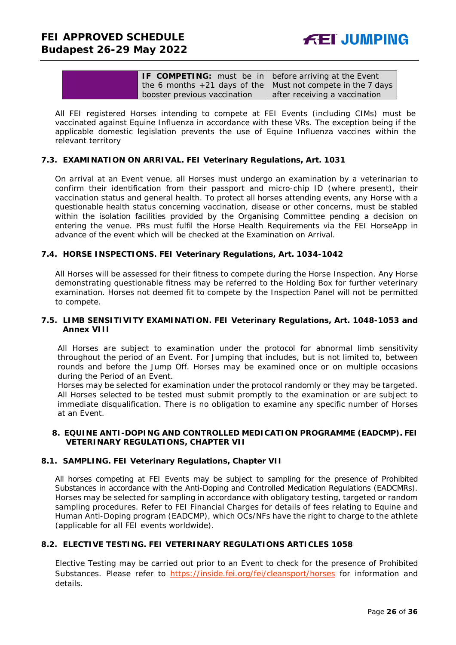| <b>IF COMPETING:</b> must be in before arriving at the Event    |                               |
|-----------------------------------------------------------------|-------------------------------|
| the 6 months $+21$ days of the   Must not compete in the 7 days |                               |
| booster previous vaccination                                    | after receiving a vaccination |

All FEI registered Horses intending to compete at FEI Events (including CIMs) must be vaccinated against Equine Influenza in accordance with these VRs. The exception being if the applicable domestic legislation prevents the use of Equine Influenza vaccines within the relevant territory

#### **7.3. EXAMINATION ON ARRIVAL. FEI Veterinary Regulations, Art. 1031**

On arrival at an Event venue, all Horses must undergo an examination by a veterinarian to confirm their identification from their passport and micro-chip ID (where present), their vaccination status and general health. To protect all horses attending events, any Horse with a questionable health status concerning vaccination, disease or other concerns, must be stabled within the isolation facilities provided by the Organising Committee pending a decision on entering the venue. PRs must fulfil the Horse Health Requirements via the FEI HorseApp in advance of the event which will be checked at the Examination on Arrival.

#### **7.4. HORSE INSPECTIONS. FEI Veterinary Regulations, Art. 1034-1042**

All Horses will be assessed for their fitness to compete during the Horse Inspection. Any Horse demonstrating questionable fitness may be referred to the Holding Box for further veterinary examination. Horses not deemed fit to compete by the Inspection Panel will not be permitted to compete.

#### **7.5. LIMB SENSITIVITY EXAMINATION. FEI Veterinary Regulations, Art. 1048-1053 and Annex VIII**

All Horses are subject to examination under the protocol for abnormal limb sensitivity throughout the period of an Event. For Jumping that includes, but is not limited to, between rounds and before the Jump Off. Horses may be examined once or on multiple occasions during the Period of an Event.

Horses may be selected for examination under the protocol randomly or they may be targeted. All Horses selected to be tested must submit promptly to the examination or are subject to immediate disqualification. There is no obligation to examine any specific number of Horses at an Event.

#### <span id="page-25-0"></span>**8. EQUINE ANTI-DOPING AND CONTROLLED MEDICATION PROGRAMME (EADCMP). FEI VETERINARY REGULATIONS, CHAPTER VII**

#### **8.1. SAMPLING. FEI Veterinary Regulations, Chapter VII**

All horses competing at FEI Events may be subject to sampling for the presence of Prohibited Substances in accordance with the Anti-Doping and Controlled Medication Regulations (EADCMRs). Horses may be selected for sampling in accordance with obligatory testing, targeted or random sampling procedures. Refer to FEI Financial Charges for details of fees relating to Equine and Human Anti-Doping program (EADCMP), which OCs/NFs have the right to charge to the athlete (applicable for all FEI events worldwide).

#### **8.2. ELECTIVE TESTING. FEI VETERINARY REGULATIONS ARTICLES 1058**

Elective Testing may be carried out prior to an Event to check for the presence of Prohibited Substances. Please refer to <https://inside.fei.org/fei/cleansport/horses> for information and details.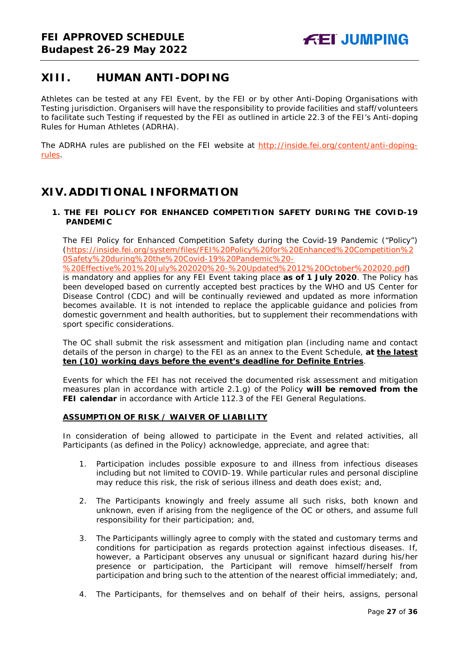# <span id="page-26-0"></span>**XIII. HUMAN ANTI-DOPING**

Athletes can be tested at any FEI Event, by the FEI or by other Anti-Doping Organisations with Testing jurisdiction. Organisers will have the responsibility to provide facilities and staff/volunteers to facilitate such Testing if requested by the FEI as outlined in article 22.3 of the FEI's Anti-doping Rules for Human Athletes (ADRHA).

The ADRHA rules are published on the FEI website at [http://inside.fei.org/content/anti-doping](http://inside.fei.org/content/anti-doping-rules)[rules.](http://inside.fei.org/content/anti-doping-rules)

# <span id="page-26-1"></span>**XIV. ADDITIONAL INFORMATION**

#### <span id="page-26-2"></span>**1. THE FEI POLICY FOR ENHANCED COMPETITION SAFETY DURING THE COVID-19 PANDEMIC**

The FEI Policy for Enhanced Competition Safety during the Covid-19 Pandemic ("Policy") (https://inside.fei.org/system/files/FEI%20Policy%20for%20Enhanced%20Competition%2 0Safety%20during%20the%20Covid-19%20Pandemic%20-

%20Effective%201%20July%202020%20-%20Updated%2012%20October%202020.pdf) is mandatory and applies for any FEI Event taking place **as of 1 July 2020**. The Policy has been developed based on currently accepted best practices by the WHO and US Center for Disease Control (CDC) and will be continually reviewed and updated as more information becomes available. It is not intended to replace the applicable guidance and policies from domestic government and health authorities, but to supplement their recommendations with sport specific considerations.

The OC shall submit the risk assessment and mitigation plan (including name and contact details of the person in charge) to the FEI as an annex to the Event Schedule, **at the latest ten (10) working days before the event's deadline for Definite Entries**.

Events for which the FEI has not received the documented risk assessment and mitigation measures plan in accordance with article 2.1.g) of the Policy **will be removed from the FEI calendar** in accordance with Article 112.3 of the FEI General Regulations.

#### **ASSUMPTION OF RISK / WAIVER OF LIABILITY**

In consideration of being allowed to participate in the Event and related activities, all Participants (as defined in the Policy) acknowledge, appreciate, and agree that:

- 1. Participation includes possible exposure to and illness from infectious diseases including but not limited to COVID-19. While particular rules and personal discipline may reduce this risk, the risk of serious illness and death does exist; and,
- 2. The Participants knowingly and freely assume all such risks, both known and unknown, even if arising from the negligence of the OC or others, and assume full responsibility for their participation; and,
- 3. The Participants willingly agree to comply with the stated and customary terms and conditions for participation as regards protection against infectious diseases. If, however, a Participant observes any unusual or significant hazard during his/her presence or participation, the Participant will remove himself/herself from participation and bring such to the attention of the nearest official immediately; and,
- 4. The Participants, for themselves and on behalf of their heirs, assigns, personal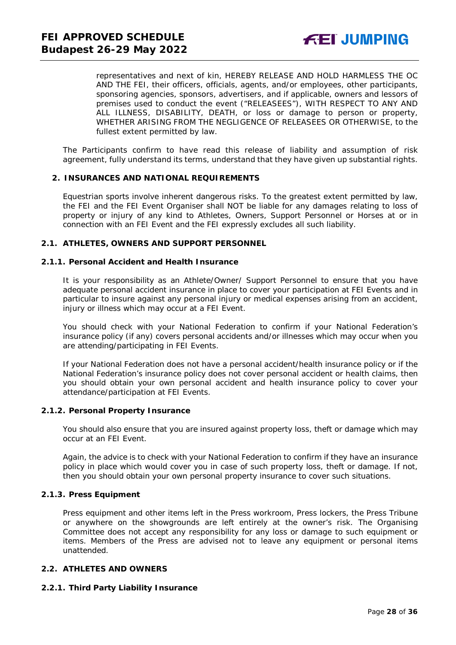representatives and next of kin, HEREBY RELEASE AND HOLD HARMLESS THE OC AND THE FEI, their officers, officials, agents, and/or employees, other participants, sponsoring agencies, sponsors, advertisers, and if applicable, owners and lessors of premises used to conduct the event ("RELEASEES"), WITH RESPECT TO ANY AND ALL ILLNESS, DISABILITY, DEATH, or loss or damage to person or property, WHETHER ARISING FROM THE NEGLIGENCE OF RELEASEES OR OTHERWISE, to the fullest extent permitted by law.

The Participants confirm to have read this release of liability and assumption of risk agreement, fully understand its terms, understand that they have given up substantial rights.

#### <span id="page-27-0"></span>**2. INSURANCES AND NATIONAL REQUIREMENTS**

Equestrian sports involve inherent dangerous risks. To the greatest extent permitted by law, the FEI and the FEI Event Organiser shall NOT be liable for any damages relating to loss of property or injury of any kind to Athletes, Owners, Support Personnel or Horses at or in connection with an FEI Event and the FEI expressly excludes all such liability.

#### **2.1. ATHLETES, OWNERS AND SUPPORT PERSONNEL**

#### **2.1.1. Personal Accident and Health Insurance**

It is your responsibility as an Athlete/Owner/ Support Personnel to ensure that you have adequate personal accident insurance in place to cover your participation at FEI Events and in particular to insure against any personal injury or medical expenses arising from an accident, injury or illness which may occur at a FEI Event.

You should check with your National Federation to confirm if your National Federation's insurance policy (if any) covers personal accidents and/or illnesses which may occur when you are attending/participating in FEI Events.

If your National Federation does not have a personal accident/health insurance policy or if the National Federation's insurance policy does not cover personal accident or health claims, then you should obtain your own personal accident and health insurance policy to cover your attendance/participation at FEI Events.

#### **2.1.2. Personal Property Insurance**

You should also ensure that you are insured against property loss, theft or damage which may occur at an FEI Event.

Again, the advice is to check with your National Federation to confirm if they have an insurance policy in place which would cover you in case of such property loss, theft or damage. If not, then you should obtain your own personal property insurance to cover such situations.

#### **2.1.3. Press Equipment**

Press equipment and other items left in the Press workroom, Press lockers, the Press Tribune or anywhere on the showgrounds are left entirely at the owner's risk. The Organising Committee does not accept any responsibility for any loss or damage to such equipment or items. Members of the Press are advised not to leave any equipment or personal items unattended.

#### **2.2. ATHLETES AND OWNERS**

#### **2.2.1. Third Party Liability Insurance**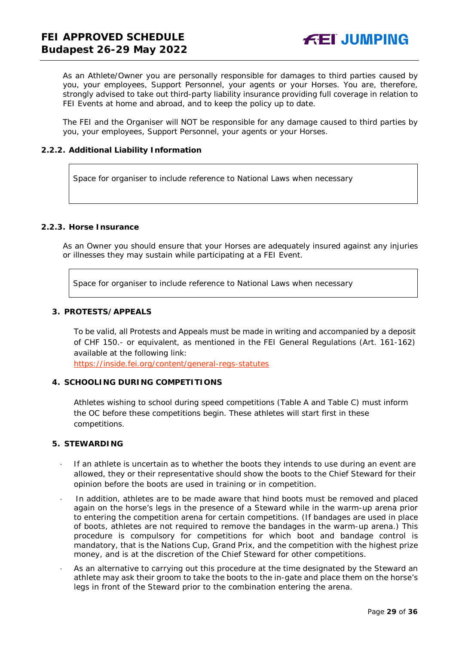As an Athlete/Owner you are personally responsible for damages to third parties caused by you, your employees, Support Personnel, your agents or your Horses. You are, therefore, strongly advised to take out third-party liability insurance providing full coverage in relation to FEI Events at home and abroad, and to keep the policy up to date.

The FEI and the Organiser will NOT be responsible for any damage caused to third parties by you, your employees, Support Personnel, your agents or your Horses.

#### **2.2.2. Additional Liability Information**

Space for organiser to include reference to National Laws when necessary

### **2.2.3. Horse Insurance**

As an Owner you should ensure that your Horses are adequately insured against any injuries or illnesses they may sustain while participating at a FEI Event.

Space for organiser to include reference to National Laws when necessary

#### <span id="page-28-0"></span>**3. PROTESTS/APPEALS**

To be valid, all Protests and Appeals must be made in writing and accompanied by a deposit of CHF 150.- or equivalent, as mentioned in the FEI General Regulations (Art. 161-162) available at the following link:

<https://inside.fei.org/content/general-regs-statutes>

#### <span id="page-28-1"></span>**4. SCHOOLING DURING COMPETITIONS**

Athletes wishing to school during speed competitions (Table A and Table C) must inform the OC before these competitions begin. These athletes will start first in these competitions.

#### <span id="page-28-2"></span>**5. STEWARDING**

- If an athlete is uncertain as to whether the boots they intends to use during an event are allowed, they or their representative should show the boots to the Chief Steward for their opinion before the boots are used in training or in competition.
- In addition, athletes are to be made aware that hind boots must be removed and placed again on the horse's legs in the presence of a Steward while in the warm-up arena prior to entering the competition arena for certain competitions. (If bandages are used in place of boots, athletes are not required to remove the bandages in the warm-up arena.) This procedure is compulsory for competitions for which boot and bandage control is mandatory, that is the Nations Cup, Grand Prix, and the competition with the highest prize money, and is at the discretion of the Chief Steward for other competitions.
- As an alternative to carrying out this procedure at the time designated by the Steward an athlete may ask their groom to take the boots to the in-gate and place them on the horse's legs in front of the Steward prior to the combination entering the arena.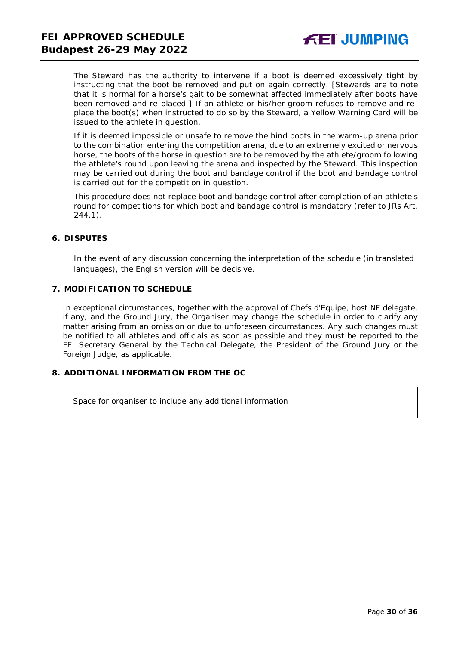- The Steward has the authority to intervene if a boot is deemed excessively tight by instructing that the boot be removed and put on again correctly. *[Stewards are to note that it is normal for a horse's gait to be somewhat affected immediately after boots have been removed and re-placed.]* If an athlete or his/her groom refuses to remove and replace the boot(s) when instructed to do so by the Steward, a Yellow Warning Card will be issued to the athlete in question.
- · If it is deemed impossible or unsafe to remove the hind boots in the warm-up arena prior to the combination entering the competition arena, due to an extremely excited or nervous horse, the boots of the horse in question are to be removed by the athlete/groom following the athlete's round upon leaving the arena and inspected by the Steward. This inspection may be carried out during the boot and bandage control if the boot and bandage control is carried out for the competition in question.
- · This procedure does not replace boot and bandage control after completion of an athlete's round for competitions for which boot and bandage control is mandatory (refer to JRs Art. 244.1).

#### <span id="page-29-0"></span>**6. DISPUTES**

In the event of any discussion concerning the interpretation of the schedule (in translated languages), the English version will be decisive.

#### <span id="page-29-1"></span>**7. MODIFICATION TO SCHEDULE**

In exceptional circumstances, together with the approval of Chefs d'Equipe, host NF delegate, if any, and the Ground Jury, the Organiser may change the schedule in order to clarify any matter arising from an omission or due to unforeseen circumstances. Any such changes must be notified to all athletes and officials as soon as possible and they must be reported to the FEI Secretary General by the Technical Delegate, the President of the Ground Jury or the Foreign Judge, as applicable.

#### <span id="page-29-2"></span>**8. ADDITIONAL INFORMATION FROM THE OC**

Space for organiser to include any additional information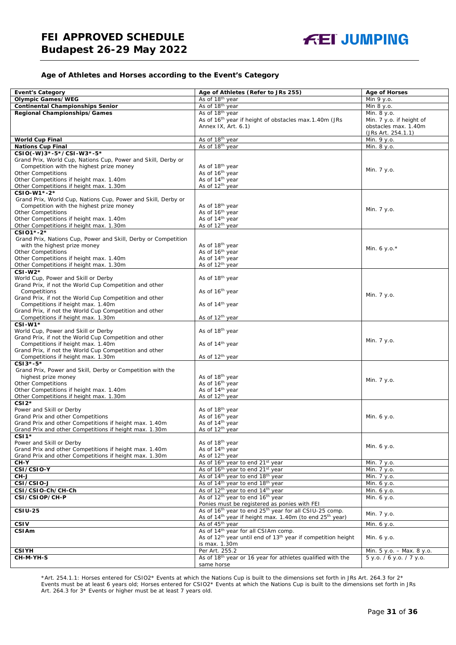#### **Age of Athletes and Horses according to the Event's Category**

| <b>Event's Category</b>                                        | Age of Athletes (Refer to JRs 255)                                                   | <b>Age of Horses</b>      |
|----------------------------------------------------------------|--------------------------------------------------------------------------------------|---------------------------|
| <b>Olympic Games/WEG</b>                                       | As of 18 <sup>th</sup> year                                                          | Min 9 y.o.                |
| <b>Continental Championships Senior</b>                        | As of 18 <sup>th</sup> year                                                          | Min 8 y.o.                |
| Regional Championships/Games                                   | As of 18 <sup>th</sup> year                                                          | Min. 8 y.o.               |
|                                                                | As of 16 <sup>th</sup> year if height of obstacles max.1.40m (JRs                    | Min. 7 y.o. if height of  |
|                                                                | Annex IX, Art. 6.1)                                                                  | obstacles max. 1.40m      |
|                                                                |                                                                                      | (JRs Art. 254.1.1)        |
| <b>World Cup Final</b>                                         | As of 18 <sup>th</sup> year                                                          | Min. 9 y.o.               |
| <b>Nations Cup Final</b>                                       | As of 18th year                                                                      | Min. 8 y.o.               |
| CSIO(-W)3*-5*/CSI-W3*-5*                                       |                                                                                      |                           |
| Grand Prix, World Cup, Nations Cup, Power and Skill, Derby or  |                                                                                      |                           |
| Competition with the highest prize money                       | As of 18 <sup>th</sup> year                                                          |                           |
| <b>Other Competitions</b>                                      | As of 16 <sup>th</sup> year                                                          | Min. 7 y.o.               |
| Other Competitions if height max. 1.40m                        | As of 14 <sup>th</sup> year                                                          |                           |
| Other Competitions if height max. 1.30m                        | As of 12 <sup>th</sup> year                                                          |                           |
| CSIO-W1*-2*                                                    |                                                                                      |                           |
| Grand Prix, World Cup, Nations Cup, Power and Skill, Derby or  |                                                                                      |                           |
| Competition with the highest prize money                       | As of 18 <sup>th</sup> year                                                          |                           |
| <b>Other Competitions</b>                                      | As of 16 <sup>th</sup> year                                                          | Min. 7 y.o.               |
| Other Competitions if height max. 1.40m                        | As of 14 <sup>th</sup> year                                                          |                           |
| Other Competitions if height max. 1.30m                        | As of 12 <sup>th</sup> year                                                          |                           |
| CSI01*-2*                                                      |                                                                                      |                           |
| Grand Prix, Nations Cup, Power and Skill, Derby or Competition |                                                                                      |                           |
| with the highest prize money                                   | As of 18 <sup>th</sup> year                                                          |                           |
| <b>Other Competitions</b>                                      | As of 16 <sup>th</sup> year                                                          | Min. 6 y.o. $*$           |
| Other Competitions if height max. 1.40m                        | As of 14 <sup>th</sup> year                                                          |                           |
| Other Competitions if height max. 1.30m                        | As of 12 <sup>th</sup> year                                                          |                           |
| CSI-W2*                                                        |                                                                                      |                           |
| World Cup, Power and Skill or Derby                            | As of 18 <sup>th</sup> year                                                          |                           |
| Grand Prix, if not the World Cup Competition and other         |                                                                                      |                           |
| Competitions                                                   | As of 16 <sup>th</sup> year                                                          |                           |
| Grand Prix, if not the World Cup Competition and other         |                                                                                      | Min. 7 y.o.               |
| Competitions if height max. 1.40m                              | As of 14 <sup>th</sup> year                                                          |                           |
| Grand Prix, if not the World Cup Competition and other         |                                                                                      |                           |
| Competitions if height max. 1.30m                              | As of 12 <sup>th</sup> year                                                          |                           |
| CSI-W1*                                                        |                                                                                      |                           |
| World Cup, Power and Skill or Derby                            | As of 18 <sup>th</sup> year                                                          |                           |
| Grand Prix, if not the World Cup Competition and other         |                                                                                      |                           |
| Competitions if height max. 1.40m                              | As of 14 <sup>th</sup> year                                                          | Min. 7 y.o.               |
| Grand Prix, if not the World Cup Competition and other         |                                                                                      |                           |
| Competitions if height max. 1.30m                              | As of 12 <sup>th</sup> year                                                          |                           |
| CSI3*-5*                                                       |                                                                                      |                           |
| Grand Prix, Power and Skill, Derby or Competition with the     |                                                                                      |                           |
| highest prize money                                            | As of 18th year                                                                      |                           |
| <b>Other Competitions</b>                                      | As of 16 <sup>th</sup> year                                                          | Min. 7 y.o.               |
| Other Competitions if height max. 1.40m                        | As of 14 <sup>th</sup> year                                                          |                           |
| Other Competitions if height max. 1.30m                        | As of 12 <sup>th</sup> year                                                          |                           |
| $CSI2*$                                                        |                                                                                      |                           |
| Power and Skill or Derby                                       | As of 18 <sup>th</sup> year                                                          |                           |
| Grand Prix and other Competitions                              | As of 16 <sup>th</sup> year                                                          | Min. 6 y.o.               |
| Grand Prix and other Competitions if height max. 1.40m         | As of 14 <sup>th</sup> year                                                          |                           |
| Grand Prix and other Competitions if height max. 1.30m         | As of 12 <sup>th</sup> vear                                                          |                           |
| CSI <sub>1</sub> *                                             |                                                                                      |                           |
| Power and Skill or Derby                                       | As of 18 <sup>th</sup> year                                                          |                           |
| Grand Prix and other Competitions if height max. 1.40m         | As of 14 <sup>th</sup> year                                                          | Min. 6 y.o.               |
| Grand Prix and other Competitions if height max. 1.30m         | As of 12 <sup>th</sup> year                                                          |                           |
| $CH-Y$                                                         | As of 16 <sup>th</sup> year to end 21 <sup>st</sup> year                             | Min. 7 y.o.               |
| CSI/CSIO-Y                                                     | As of 16 <sup>th</sup> year to end 21 <sup>st</sup> year                             |                           |
|                                                                |                                                                                      | Min. 7 y.o.               |
| CH-J                                                           | As of 14 <sup>th</sup> year to end 18 <sup>th</sup> year                             | Min. 7 y.o.               |
| CSI/CSIO-J                                                     | As of 14 <sup>th</sup> year to end 18 <sup>th</sup> year                             | Min. 6 y.o.               |
| CSI/CSIO-Ch/CH-Ch                                              | As of 12 <sup>th</sup> year to end 14 <sup>th</sup> year                             | Min. 6 y.o.               |
| CSI/CSIOP/CH-P                                                 | As of 12 <sup>th</sup> year to end 16 <sup>th</sup> year                             | Min. 6 y.o.               |
|                                                                | Ponies must be registered as ponies with FEI                                         |                           |
| <b>CSIU-25</b>                                                 | As of 16 <sup>th</sup> year to end 25 <sup>th</sup> year for all CSIU-25 comp.       | Min. 7 y.o.               |
|                                                                | As of 14 <sup>th</sup> year if height max. 1.40m (to end 25 <sup>th</sup> year)      |                           |
| <b>CSIV</b>                                                    | As of 45 <sup>th</sup> year                                                          | Min. 6 y.o.               |
| CSIAm                                                          | As of 14 <sup>th</sup> year for all CSIAm comp.                                      |                           |
|                                                                | As of 12 <sup>th</sup> year until end of 13 <sup>th</sup> year if competition height | Min. 6 y.o.               |
|                                                                | is max. 1.30m                                                                        |                           |
| <b>CSIYH</b>                                                   | Per Art. 255.2                                                                       | Min. 5 y.o. - Max. 8 y.o. |
| CH-M-YH-S                                                      | As of 18th year or 16 year for athletes qualified with the                           | 5 y.o. / 6 y.o. / 7 y.o.  |
|                                                                | same horse                                                                           |                           |

\*Art. 254.1.1: Horses entered for CSIO2\* Events at which the Nations Cup is built to the dimensions set forth in JRs Art. 264.3 for 2\* Events must be at least 6 years old; Horses entered for CSIO2\* Events at which the Nations Cup is built to the dimensions set forth in JRs Art. 264.3 for 3\* Events or higher must be at least 7 years old.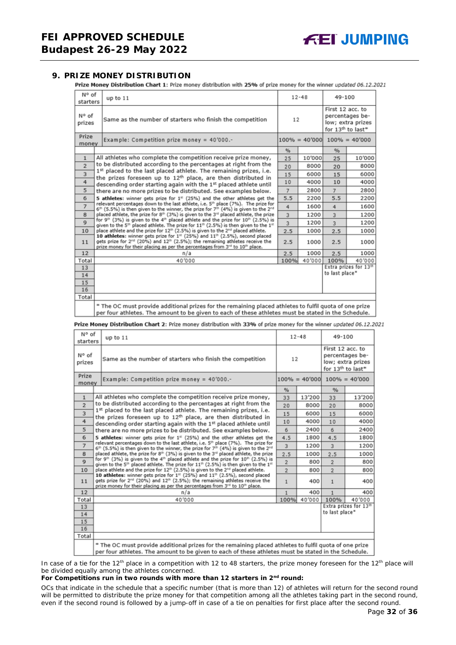#### <span id="page-31-0"></span>**9. PRIZE MONEY DISTRIBUTION**

Prize Money Distribution Chart 1: Prize money distribution with 25% of prize money for the winner updated 06.12.2021

| N° of<br>starters       | up to 11                                                                                                                                                                                                                                                                                                                                                                                                                                                                                                                                                                                                                                                                                                                                                                                                                                                                                                                                                                        | $12 - 48$ |        | 49-100         |                                   |  |                                                                               |  |
|-------------------------|---------------------------------------------------------------------------------------------------------------------------------------------------------------------------------------------------------------------------------------------------------------------------------------------------------------------------------------------------------------------------------------------------------------------------------------------------------------------------------------------------------------------------------------------------------------------------------------------------------------------------------------------------------------------------------------------------------------------------------------------------------------------------------------------------------------------------------------------------------------------------------------------------------------------------------------------------------------------------------|-----------|--------|----------------|-----------------------------------|--|-------------------------------------------------------------------------------|--|
| N° of<br>prizes         | Same as the number of starters who finish the competition                                                                                                                                                                                                                                                                                                                                                                                                                                                                                                                                                                                                                                                                                                                                                                                                                                                                                                                       |           | 12     |                |                                   |  | First 12 acc. to<br>percentages be-<br>low; extra prizes<br>for 13th to last* |  |
| Prize<br>money          | Example: Competition prize money = $40'000$ .-                                                                                                                                                                                                                                                                                                                                                                                                                                                                                                                                                                                                                                                                                                                                                                                                                                                                                                                                  |           |        |                | $100\% = 40'000$ $100\% = 40'000$ |  |                                                                               |  |
|                         |                                                                                                                                                                                                                                                                                                                                                                                                                                                                                                                                                                                                                                                                                                                                                                                                                                                                                                                                                                                 | %         |        | %              |                                   |  |                                                                               |  |
| $\mathbf{1}$            | All athletes who complete the competition receive prize money,                                                                                                                                                                                                                                                                                                                                                                                                                                                                                                                                                                                                                                                                                                                                                                                                                                                                                                                  | 25        | 10'000 | 25             | 10'000                            |  |                                                                               |  |
| $\overline{2}$          | to be distributed according to the percentages at right from the                                                                                                                                                                                                                                                                                                                                                                                                                                                                                                                                                                                                                                                                                                                                                                                                                                                                                                                | 20        | 8000   | 20             | 8000                              |  |                                                                               |  |
| $\overline{\mathbf{3}}$ | 1st placed to the last placed athlete. The remaining prizes, i.e.<br>the prizes foreseen up to 12 <sup>th</sup> place, are then distributed in                                                                                                                                                                                                                                                                                                                                                                                                                                                                                                                                                                                                                                                                                                                                                                                                                                  | 15        | 6000   | 15             | 6000                              |  |                                                                               |  |
| 4                       | descending order starting again with the 1st placed athlete until                                                                                                                                                                                                                                                                                                                                                                                                                                                                                                                                                                                                                                                                                                                                                                                                                                                                                                               | 10        | 4000   | 10             | 4000                              |  |                                                                               |  |
| 5                       | there are no more prizes to be distributed. See examples below.                                                                                                                                                                                                                                                                                                                                                                                                                                                                                                                                                                                                                                                                                                                                                                                                                                                                                                                 | 7         | 2800   | $\overline{7}$ | 2800                              |  |                                                                               |  |
| 6                       | 5 athletes: winner gets prize for 1 <sup>#</sup> (25%) and the other athletes get the                                                                                                                                                                                                                                                                                                                                                                                                                                                                                                                                                                                                                                                                                                                                                                                                                                                                                           | 5.5       | 2200   | 5.5            | 2200                              |  |                                                                               |  |
| $\overline{7}$          | relevant percentages down to the last athlete, i.e. 5 <sup>th</sup> place (7%). The prize for<br>$6th$ (5.5%) is then given to the winner, the prize for 7 <sup>th</sup> (4%) is given to the 2 <sup>nd</sup><br>placed athlete, the prize for 8th (3%) is given to the 3rd placed athlete, the prize<br>8<br>for 9 <sup>th</sup> (3%) is given to the 4 <sup>th</sup> placed athlete and the prize for 10 <sup>th</sup> (2.5%) is<br>$\mathbf{Q}$<br>given to the 5 <sup>th</sup> placed athlete. The prize for $11th$ (2.5%) is then given to the $1th$<br>place athlete and the prize for 12 <sup>th</sup> (2.5%) is given to the 2 <sup>nd</sup> placed athlete.<br>10<br>10 athletes: winner gets prize for 1st (25%) and 11th (2.5%), second placed<br>gets prize for 2 <sup>nd</sup> (20%) and 12 <sup>th</sup> (2.5%); the remaining athletes receive the<br>11<br>prize money for their placing as per the percentages from 3 <sup>rd</sup> to 10 <sup>th</sup> place. |           | 1600   | 4              | 1600                              |  |                                                                               |  |
|                         |                                                                                                                                                                                                                                                                                                                                                                                                                                                                                                                                                                                                                                                                                                                                                                                                                                                                                                                                                                                 |           | 1200   | $\overline{3}$ | 1200                              |  |                                                                               |  |
|                         |                                                                                                                                                                                                                                                                                                                                                                                                                                                                                                                                                                                                                                                                                                                                                                                                                                                                                                                                                                                 |           | 1200   | $\overline{3}$ | 1200                              |  |                                                                               |  |
|                         |                                                                                                                                                                                                                                                                                                                                                                                                                                                                                                                                                                                                                                                                                                                                                                                                                                                                                                                                                                                 |           | 1000   | 2.5            | 1000                              |  |                                                                               |  |
|                         |                                                                                                                                                                                                                                                                                                                                                                                                                                                                                                                                                                                                                                                                                                                                                                                                                                                                                                                                                                                 |           | 1000   | 2.5            | 1000                              |  |                                                                               |  |
| 12                      | n/a                                                                                                                                                                                                                                                                                                                                                                                                                                                                                                                                                                                                                                                                                                                                                                                                                                                                                                                                                                             | 2.5       | 1000   | 2.5            | 1000                              |  |                                                                               |  |
| Total                   | 40'000                                                                                                                                                                                                                                                                                                                                                                                                                                                                                                                                                                                                                                                                                                                                                                                                                                                                                                                                                                          | 100%      | 40'000 | 100%           | 40'000                            |  |                                                                               |  |
| 13                      |                                                                                                                                                                                                                                                                                                                                                                                                                                                                                                                                                                                                                                                                                                                                                                                                                                                                                                                                                                                 |           |        |                | Extra prizes for 13th             |  |                                                                               |  |
| 14                      |                                                                                                                                                                                                                                                                                                                                                                                                                                                                                                                                                                                                                                                                                                                                                                                                                                                                                                                                                                                 |           |        | to last place* |                                   |  |                                                                               |  |
| 15                      |                                                                                                                                                                                                                                                                                                                                                                                                                                                                                                                                                                                                                                                                                                                                                                                                                                                                                                                                                                                 |           |        |                |                                   |  |                                                                               |  |
| 16                      |                                                                                                                                                                                                                                                                                                                                                                                                                                                                                                                                                                                                                                                                                                                                                                                                                                                                                                                                                                                 |           |        |                |                                   |  |                                                                               |  |
| Total                   |                                                                                                                                                                                                                                                                                                                                                                                                                                                                                                                                                                                                                                                                                                                                                                                                                                                                                                                                                                                 |           |        |                |                                   |  |                                                                               |  |
|                         | * The OC must provide additional prizes for the remaining placed athletes to fulfil quota of one prize<br>per four athletes. The amount to be given to each of these athletes must be stated in the Schedule.                                                                                                                                                                                                                                                                                                                                                                                                                                                                                                                                                                                                                                                                                                                                                                   |           |        |                |                                   |  |                                                                               |  |

Prize Money Distribution Chart 2: Prize money distribution with 33% of prize money for the winner updated 06.12.2021

| N° of<br>starters | up to $11$                                                                                                                                                                                                                                                                                                                                                                     | $12 - 48$      |        | 49-100                                                                                    |                                   |  |
|-------------------|--------------------------------------------------------------------------------------------------------------------------------------------------------------------------------------------------------------------------------------------------------------------------------------------------------------------------------------------------------------------------------|----------------|--------|-------------------------------------------------------------------------------------------|-----------------------------------|--|
| N° of<br>prizes   | Same as the number of starters who finish the competition                                                                                                                                                                                                                                                                                                                      | 12             |        | First 12 acc. to<br>percentages be-<br>low; extra prizes<br>for 13 <sup>th</sup> to last* |                                   |  |
| Prize<br>money    | Example: Competition prize money = 40'000.-                                                                                                                                                                                                                                                                                                                                    |                |        |                                                                                           | $100\% = 40'000$ $100\% = 40'000$ |  |
|                   |                                                                                                                                                                                                                                                                                                                                                                                | $\frac{9}{6}$  |        | %                                                                                         |                                   |  |
| $\mathbf{1}$      | All athletes who complete the competition receive prize money,                                                                                                                                                                                                                                                                                                                 | 33             | 13'200 | 33                                                                                        | 13'200                            |  |
| $\overline{2}$    | to be distributed according to the percentages at right from the                                                                                                                                                                                                                                                                                                               | 20             | 8000   | 20                                                                                        | 8000                              |  |
| 3                 | 1st placed to the last placed athlete. The remaining prizes, i.e.<br>the prizes foreseen up to 12 <sup>th</sup> place, are then distributed in                                                                                                                                                                                                                                 | 15             | 6000   | 15                                                                                        | 6000                              |  |
| 4                 | descending order starting again with the 1st placed athlete until                                                                                                                                                                                                                                                                                                              | 10             | 4000   | 10                                                                                        | 4000                              |  |
| 5                 | there are no more prizes to be distributed. See examples below.                                                                                                                                                                                                                                                                                                                | 6              | 2400   | 6                                                                                         | 2400                              |  |
| 6                 | 5 athletes: winner gets prize for $1st$ (25%) and the other athletes get the                                                                                                                                                                                                                                                                                                   |                |        | 4.5                                                                                       | 1800                              |  |
| $\overline{7}$    | relevant percentages down to the last athlete, i.e. 5 <sup>th</sup> place (7%). The prize for<br>6 <sup>th</sup> (5.5%) is then given to the winner, the prize for 7 <sup>th</sup> (4%) is given to the 2 <sup>nd</sup>                                                                                                                                                        | 3              | 1200   | $\overline{3}$                                                                            | 1200                              |  |
| 8                 | placed athlete, the prize for 8th (3%) is given to the 3 <sup>rd</sup> placed athlete, the prize                                                                                                                                                                                                                                                                               | 2.5            | 1000   | 2.5                                                                                       | 1000                              |  |
| $\mathbf Q$       | for 9th (3%) is given to the 4th placed athlete and the prize for 10th (2.5%) is<br>given to the 5 <sup>th</sup> placed athlete. The prize for 11 <sup>th</sup> (2.5%) is then given to the 1 <sup>st</sup>                                                                                                                                                                    | $\overline{2}$ | 800    | $\overline{2}$                                                                            | 800                               |  |
| 10                | place athlete and the prize for 12 <sup>th</sup> (2.5%) is given to the 2 <sup>rd</sup> placed athlete.<br>10 athletes: winner gets prize for 1st (25%) and 11th (2.5%), second placed<br>gets prize for 2 <sup>nd</sup> (20%) and 12 <sup>th</sup> (2.5%); the remaining athletes receive the<br>prize money for their placing as per the percentages from 3rd to 10th place. |                | 800    | $\overline{2}$                                                                            | 800                               |  |
| 11                |                                                                                                                                                                                                                                                                                                                                                                                |                | 400    | $\mathbf{1}$                                                                              | 400                               |  |
| 12                | n/a                                                                                                                                                                                                                                                                                                                                                                            | 1              | 400    | 1                                                                                         | 400                               |  |
| Total             | 40'000                                                                                                                                                                                                                                                                                                                                                                         | 100%           | 40'000 | 100%                                                                                      | 40'000                            |  |
| 13                |                                                                                                                                                                                                                                                                                                                                                                                |                |        |                                                                                           | Extra prizes for 13th             |  |
| 14                |                                                                                                                                                                                                                                                                                                                                                                                |                |        | to last place*                                                                            |                                   |  |
| 15                |                                                                                                                                                                                                                                                                                                                                                                                |                |        |                                                                                           |                                   |  |
| 16                |                                                                                                                                                                                                                                                                                                                                                                                |                |        |                                                                                           |                                   |  |
| Total             |                                                                                                                                                                                                                                                                                                                                                                                |                |        |                                                                                           |                                   |  |
|                   | * The OC must provide additional prizes for the remaining placed athletes to fulfil quota of one prize<br>per four athletes. The amount to be given to each of these athletes must be stated in the Schedule.                                                                                                                                                                  |                |        |                                                                                           |                                   |  |

In case of a tie for the 12<sup>th</sup> place in a competition with 12 to 48 starters, the prize money foreseen for the 12<sup>th</sup> place will be divided equally among the athletes concerned.

#### **For Competitions run in two rounds with more than 12 starters in 2nd round:**

*OCs that indicate in the schedule that a specific number (that is more than 12) of athletes will return for the second round will be permitted to distribute the prize money for that competition among all the athletes taking part in the second round, even if the second round is followed by a jump-off in case of a tie on penalties for first place after the second round.*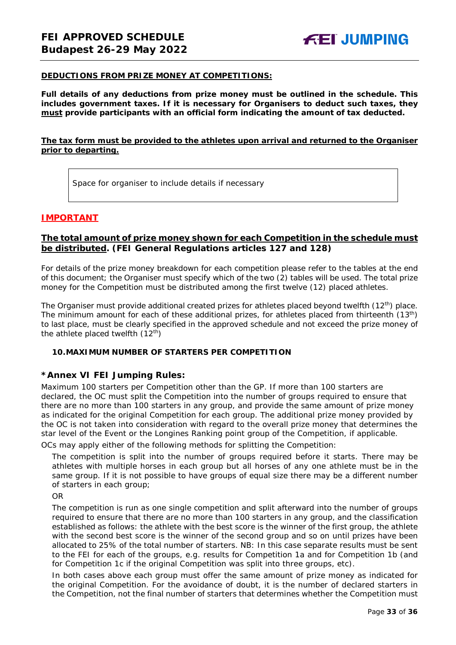#### **DEDUCTIONS FROM PRIZE MONEY AT COMPETITIONS:**

**Full details of any deductions from prize money must be outlined in the schedule. This includes government taxes. If it is necessary for Organisers to deduct such taxes, they must provide participants with an official form indicating the amount of tax deducted.** 

#### **The tax form must be provided to the athletes upon arrival and returned to the Organiser prior to departing.**

Space for organiser to include details if necessary

#### **IMPORTANT**

#### **The total amount of prize money shown for each Competition in the schedule must be distributed. (FEI General Regulations articles 127 and 128)**

For details of the prize money breakdown for each competition please refer to the tables at the end of this document; the Organiser must specify which of the two (2) tables will be used. The total prize money for the Competition must be distributed among the first twelve (12) placed athletes.

The Organiser must provide additional created prizes for athletes placed beyond twelfth (12<sup>th</sup>) place. The minimum amount for each of these additional prizes, for athletes placed from thirteenth (13<sup>th</sup>) to last place, must be clearly specified in the approved schedule and not exceed the prize money of the athlete placed twelfth  $(12<sup>th</sup>)$ 

#### <span id="page-32-0"></span>**10.MAXIMUM NUMBER OF STARTERS PER COMPETITION**

#### **\*Annex VI FEI Jumping Rules:**

Maximum 100 starters per Competition other than the GP. If more than 100 starters are declared, the OC must split the Competition into the number of groups required to ensure that there are no more than 100 starters in any group, and provide the same amount of prize money as indicated for the original Competition for each group. The additional prize money provided by the OC is not taken into consideration with regard to the overall prize money that determines the star level of the Event or the Longines Ranking point group of the Competition, if applicable.

OCs may apply either of the following methods for splitting the Competition:

The competition is split into the number of groups required before it starts. There may be athletes with multiple horses in each group but all horses of any one athlete must be in the same group. If it is not possible to have groups of equal size there may be a different number of starters in each group;

OR

The competition is run as one single competition and split afterward into the number of groups required to ensure that there are no more than 100 starters in any group, and the classification established as follows: the athlete with the best score is the winner of the first group, the athlete with the second best score is the winner of the second group and so on until prizes have been allocated to 25% of the total number of starters. *NB: In this case separate results must be sent to the FEI for each of the groups, e.g. results for Competition 1a and for Competition 1b (and for Competition 1c if the original Competition was split into three groups, etc).*

In both cases above each group must offer the same amount of prize money as indicated for the original Competition. For the avoidance of doubt, it is the number of declared starters in the Competition, not the final number of starters that determines whether the Competition must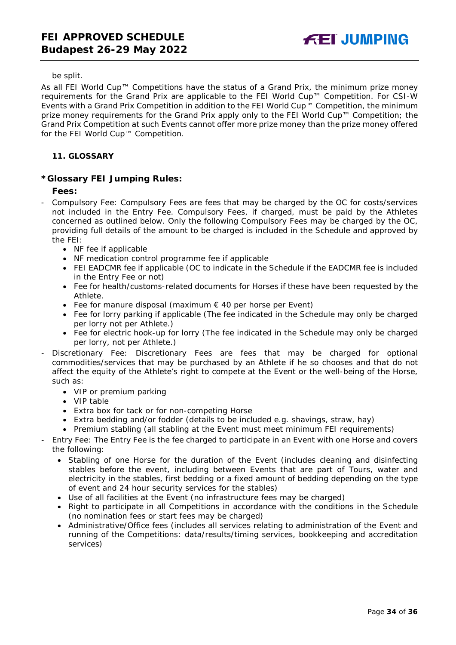#### be split.

As all FEI World Cup™ Competitions have the status of a Grand Prix, the minimum prize money requirements for the Grand Prix are applicable to the FEI World Cup™ Competition. For CSI-W Events with a Grand Prix Competition in addition to the FEI World Cup™ Competition, the minimum prize money requirements for the Grand Prix apply only to the FEI World Cup™ Competition; the Grand Prix Competition at such Events cannot offer more prize money than the prize money offered for the FEI World Cup™ Competition.

#### <span id="page-33-0"></span>**11. GLOSSARY**

#### **\*Glossary FEI Jumping Rules:**

#### **Fees:**

- Compulsory Fee: Compulsory Fees are fees that may be charged by the OC for costs/services not included in the Entry Fee. Compulsory Fees, if charged, must be paid by the Athletes concerned as outlined below. Only the following Compulsory Fees may be charged by the OC, providing full details of the amount to be charged is included in the Schedule and approved by the FEI:
	- NF fee if applicable
	- NF medication control programme fee if applicable
	- FEI EADCMR fee if applicable (OC to indicate in the Schedule if the EADCMR fee is included in the Entry Fee or not)
	- Fee for health/customs-related documents for Horses if these have been requested by the Athlete.
	- Fee for manure disposal (maximum € 40 per horse per Event)
	- Fee for lorry parking if applicable (The fee indicated in the Schedule may only be charged per lorry not per Athlete.)
	- Fee for electric hook-up for lorry (The fee indicated in the Schedule may only be charged per lorry, not per Athlete.)
- Discretionary Fee: Discretionary Fees are fees that may be charged for optional commodities/services that may be purchased by an Athlete if he so chooses and that do not affect the equity of the Athlete's right to compete at the Event or the well-being of the Horse, such as:
	- VIP or premium parking
	- VIP table
	- Extra box for tack or for non-competing Horse
	- Extra bedding and/or fodder (details to be included e.g. shavings, straw, hay)
	- Premium stabling (all stabling at the Event must meet minimum FEI requirements)
- Entry Fee: The Entry Fee is the fee charged to participate in an Event with one Horse and covers the following:
	- Stabling of one Horse for the duration of the Event (includes cleaning and disinfecting stables before the event, including between Events that are part of Tours, water and electricity in the stables, first bedding or a fixed amount of bedding depending on the type of event and 24 hour security services for the stables)
	- Use of all facilities at the Event (no infrastructure fees may be charged)
	- Right to participate in all Competitions in accordance with the conditions in the Schedule (no nomination fees or start fees may be charged)
	- Administrative/Office fees (includes all services relating to administration of the Event and running of the Competitions: data/results/timing services, bookkeeping and accreditation services)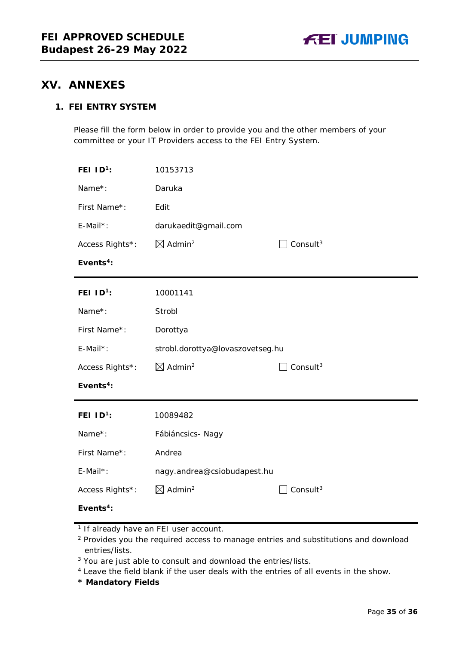# <span id="page-34-0"></span>**XV. ANNEXES**

### **1. FEI ENTRY SYSTEM**

Please fill the form below in order to provide you and the other members of your committee or your IT Providers access to the FEI Entry System.

| FEI $ID1$ :           | 10153713                                      |                      |
|-----------------------|-----------------------------------------------|----------------------|
| Name*:                | Daruka                                        |                      |
| First Name*:          | Edit                                          |                      |
| E-Mail*:              | darukaedit@gmail.com                          |                      |
| Access Rights*:       | $\boxtimes$ Admin <sup>2</sup>                | Consult $3$          |
| Events <sup>4</sup> : |                                               |                      |
| FEI $ID^1$ :          | 10001141                                      |                      |
| Name*:                | Strobl                                        |                      |
| First Name*:          | Dorottya                                      |                      |
| E-Mail*:              | strobl.dorottya@lovaszovetseg.hu              |                      |
| Access Rights*:       | $\boxtimes$ Admin <sup>2</sup>                | Consult <sup>3</sup> |
| Events <sup>4</sup> : |                                               |                      |
| FEI $ID1$ :           | 10089482                                      |                      |
| Name*:                | Fábiáncsics-Nagy                              |                      |
| First Name*:          | Andrea                                        |                      |
| E-Mail*:              | nagy.andrea@csiobudapest.hu                   |                      |
| Access Rights*:       | $\boxtimes$ Admin <sup>2</sup><br>Consult $3$ |                      |
| Events <sup>4</sup> : |                                               |                      |

**\* Mandatory Fields**

<sup>&</sup>lt;sup>1</sup> If already have an FEI user account.

<sup>&</sup>lt;sup>2</sup> Provides you the required access to manage entries and substitutions and download entries/lists.

<sup>&</sup>lt;sup>3</sup> You are just able to consult and download the entries/lists.

<sup>4</sup> Leave the field blank if the user deals with the entries of all events in the show.